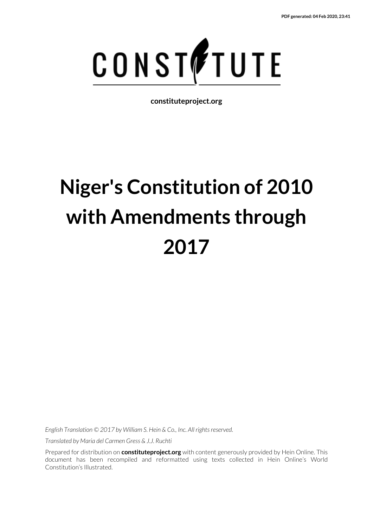

**constituteproject.org**

# **Niger's Constitution of 2010 with Amendments through 2017**

*English Translation © 2017 by William S. Hein & Co., Inc. All rights reserved.*

*Translated by Maria del Carmen Gress & J.J. Ruchti*

Prepared for distribution on **constituteproject.org** with content generously provided by Hein Online. This document has been recompiled and reformatted using texts collected in Hein Online's World Constitution's Illustrated.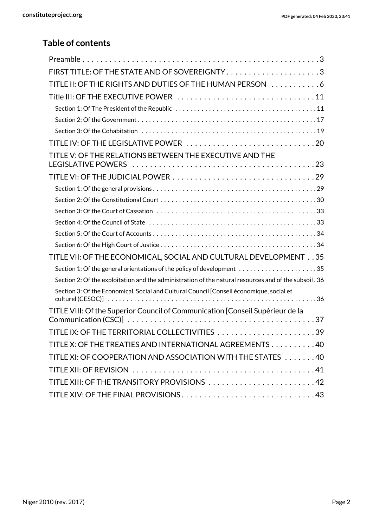### **Table of contents**

| FIRST TITLE: OF THE STATE AND OF SOVEREIGNTY3                                                         |
|-------------------------------------------------------------------------------------------------------|
| TITLE II: OF THE RIGHTS AND DUTIES OF THE HUMAN PERSON 6                                              |
|                                                                                                       |
|                                                                                                       |
|                                                                                                       |
|                                                                                                       |
| TITLE IV: OF THE LEGISLATIVE POWER 20                                                                 |
| TITLE V: OF THE RELATIONS BETWEEN THE EXECUTIVE AND THE                                               |
|                                                                                                       |
|                                                                                                       |
|                                                                                                       |
|                                                                                                       |
|                                                                                                       |
|                                                                                                       |
|                                                                                                       |
| TITLE VII: OF THE ECONOMICAL, SOCIAL AND CULTURAL DEVELOPMENT 35                                      |
|                                                                                                       |
| Section 2: Of the exploitation and the administration of the natural resources and of the subsoil. 36 |
| Section 3: Of the Economical, Social and Cultural Council [Conseil économique, social et              |
| TITLE VIII: Of the Superior Council of Communication [Conseil Supérieur de la                         |
| 39                                                                                                    |
| TITLE X: OF THE TREATIES AND INTERNATIONAL AGREEMENTS 40                                              |
| TITLE XI: OF COOPERATION AND ASSOCIATION WITH THE STATES 40                                           |
|                                                                                                       |
| TITLE XIII: OF THE TRANSITORY PROVISIONS 42                                                           |
|                                                                                                       |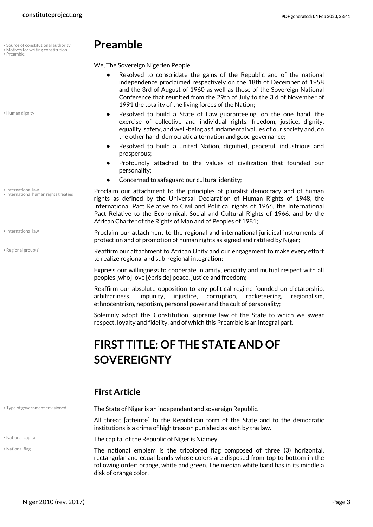- Source of constitutional authority
- Motives for writing constitution
- <span id="page-2-8"></span>• Preamble

<span id="page-2-2"></span>• Human dignity

- International law
- International human rights treaties
- <span id="page-2-4"></span>• International law
- <span id="page-2-9"></span>• Regional group(s)

<span id="page-2-10"></span><span id="page-2-5"></span>We, The Sovereign Nigerien People

- <span id="page-2-0"></span>**•** Resolved to consolidate the gains of the Republic and of the national independence proclaimed respectively on the 18th of December of 1958 and the 3rd of August of 1960 as well as those of the Sovereign National Conference that reunited from the 29th of July to the 3 d of November of 1991 the totality of the living forces of the Nation;
- **•** Resolved to build a State of Law guaranteeing, on the one hand, the exercise of collective and individual rights, freedom, justice, dignity, equality, safety, and well-being as fundamental values of our society and, on the other hand, democratic alternation and good governance;
- **•** Resolved to build a united Nation, dignified, peaceful, industrious and prosperous;
- **•** Profoundly attached to the values of civilization that founded our personality;
- **•** Concerned to safeguard our cultural identity;

<span id="page-2-3"></span>Proclaim our attachment to the principles of pluralist democracy and of human rights as defined by the Universal Declaration of Human Rights of 1948, the International Pact Relative to Civil and Political rights of 1966, the International Pact Relative to the Economical, Social and Cultural Rights of 1966, and by the African Charter of the Rights of Man and of Peoples of 1981;

Proclaim our attachment to the regional and international juridical instruments of protection and of promotion of human rights as signed and ratified by Niger;

Reaffirm our attachment to African Unity and our engagement to make every effort to realize regional and sub-regional integration;

Express our willingness to cooperate in amity, equality and mutual respect with all peoples [who] love [épris de] peace, justice and freedom;

Reaffirm our absolute opposition to any political regime founded on dictatorship, arbitrariness, impunity, injustice, corruption, racketeering, regionalism, ethnocentrism, nepotism, personal power and the cult of personality;

Solemnly adopt this Constitution, supreme law of the State to which we swear respect, loyalty and fidelity, and of which this Preamble is an integral part.

## <span id="page-2-1"></span>**FIRST TITLE: OF THE STATE AND OF SOVEREIGNTY**

### **First Article**

<span id="page-2-6"></span>

<span id="page-2-7"></span>• National flag

\* Type of government envisioned **The State of Niger is an independent and sovereign Republic.** 

<span id="page-2-11"></span>All threat [atteinte] to the Republican form of the State and to the democratic institutions is a crime of high treason punished as such by the law.

• National capital **The capital of the Republic of Niger is Niamey.** The capital of the Republic of Niger is Niamey.

The national emblem is the tricolored flag composed of three (3) horizontal, rectangular and equal bands whose colors are disposed from top to bottom in the following order: orange, white and green. The median white band has in its middle a disk of orange color.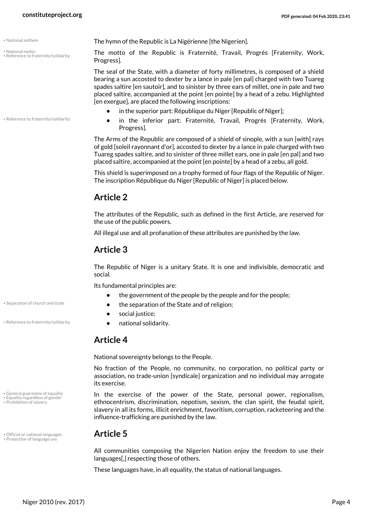- <span id="page-3-2"></span>
- <span id="page-3-3"></span>• National motto • Reference to fraternity/solidarity

• Reference to fraternity/solidarity

• National anthem **The hymn of the Republic is La Nigérienne** [the Nigerien].

The motto of the Republic is Fraternité, Travail, Progrés [Fraternity, Work, Progress].

The seal of the State, with a diameter of forty millimetres, is composed of a shield bearing a sun accosted to dexter by a lance in pale [en pal] charged with two Tuareg spades saltire [en sautoir], and to sinister by three ears of millet, one in pale and two placed saltire, accompanied at the point [en pointe] by a head of a zebu. Highlighted [en exergue], are placed the following inscriptions:

- **•** in the superior part: République du Niger [Republic of Niger];
- **•** in the inferior part: Fraternité, Travail, Progrés [Fraternity, Work, Progress].

The Arms of the Republic are composed of a shield of sinople, with a sun [with] rays of gold [soleil rayonnant d'or], accosted to dexter by a lance in pale charged with two Tuareg spades saltire, and to sinister of three millet ears, one in pale [en pal] and two placed saltire, accompanied at the point [en pointe] by a head of a zebu, all gold.

This shield is superimposed on a trophy formed of four flags of the Republic of Niger. The inscription République du Niger [Republic of Niger] is placed below.

#### **Article 2**

The attributes of the Republic, such as defined in the first Article, are reserved for the use of the public powers.

All illegal use and all profanation of these attributes are punished by the law.

#### **Article 3**

The Republic of Niger is a unitary State. It is one and indivisible, democratic and social.

<span id="page-3-8"></span>Its fundamental principles are:

- **•** the government of the people by the people and for the people;
- Separation of church and state  **by the separation of the State and of religion;** 
	- **•** social justice;
- Reference to fraternity/solidarity  **Reference to fraternity/solidarity**

#### <span id="page-3-7"></span>**Article 4**

National sovereignty belongs to the People.

No fraction of the People, no community, no corporation, no political party or association, no trade-union [syndicale] organization and no individual may arrogate its exercise.

<span id="page-3-1"></span><span id="page-3-0"></span>In the exercise of the power of the State, personal power, regionalism, ethnocentrism, discrimination, nepotism, sexism, the clan spirit, the feudal spirit, slavery in all its forms, illicit enrichment, favoritism, corruption, racketeering and the influence-trafficking are punished by the law.

## • Official or national languages **Article 5** • Protection of language use

<span id="page-3-6"></span><span id="page-3-4"></span>All communities composing the Nigerien Nation enjoy the freedom to use their languages[,] respecting those of others.

These languages have, in all equality, the status of national languages.

<span id="page-3-5"></span>General guarantee of equality • Equality regardless of gender • Prohibition of slavery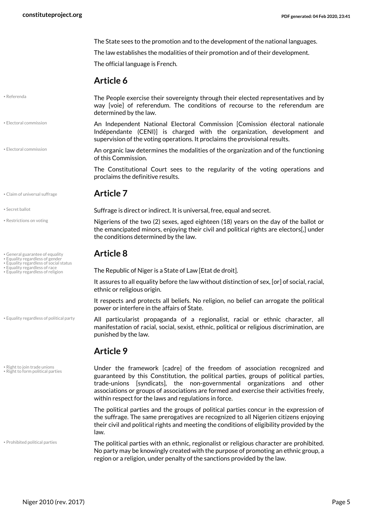The State sees to the promotion and to the development of the national languages.

The law establishes the modalities of their promotion and of their development.

The official language is French.

#### **Article 6**

#### <span id="page-4-9"></span>• Referenda

The People exercise their sovereignty through their elected representatives and by way [voie] of referendum. The conditions of recourse to the referendum are determined by the law.

An Independent National Electoral Commission [Comission électoral nationale Indépendante (CENI)] is charged with the organization, development and supervision of the voting operations. It proclaims the provisional results. • Electoral commission

<span id="page-4-1"></span>An organic law determines the modalities of the organization and of the functioning of this Commission. • Electoral commission

> The Constitutional Court sees to the regularity of the voting operations and proclaims the definitive results.

#### • Claim of universal suffrage **Article 7**

- Restrictions on voting
- General guarantee of equality **Article 8** Equality regardless of gender Equality regardless of social status
- 
- 
- Equality regardless of race<br>• Equality regardless of religion

• Equality regardless of political party

• Right to join trade unions • Right to form political parties

• Prohibited political parties

<span id="page-4-13"></span>**Suffrage is direct or indirect. It is universal, free, equal and secret.** • Suffrage is direct or indirect. It is universal, free, equal and secret.

<span id="page-4-10"></span><span id="page-4-0"></span>Nigeriens of the two (2) sexes, aged eighteen (18) years on the day of the ballot or the emancipated minors, enjoying their civil and political rights are electors[,] under the conditions determined by the law.

<span id="page-4-7"></span><span id="page-4-6"></span><span id="page-4-5"></span><span id="page-4-4"></span><span id="page-4-2"></span>The Republic of Niger is a State of Law [Etat de droit].

It assures to all equality before the law without distinction of sex, [or] of social, racial, ethnic or religious origin.

It respects and protects all beliefs. No religion, no belief can arrogate the political power or interfere in the affairs of State.

<span id="page-4-3"></span>All particularist propaganda of a regionalist, racial or ethnic character, all manifestation of racial, social, sexist, ethnic, political or religious discrimination, are punished by the law.

#### **Article 9**

<span id="page-4-12"></span><span id="page-4-11"></span>Under the framework [cadre] of the freedom of association recognized and guaranteed by this Constitution, the political parties, groups of political parties, trade-unions [syndicats], the non-governmental organizations and other associations or groups of associations are formed and exercise their activities freely, within respect for the laws and regulations in force.

The political parties and the groups of political parties concur in the expression of the suffrage. The same prerogatives are recognized to all Nigerien citizens enjoying their civil and political rights and meeting the conditions of eligibility provided by the law.

<span id="page-4-8"></span>The political parties with an ethnic, regionalist or religious character are prohibited. No party may be knowingly created with the purpose of promoting an ethnic group, a region or a religion, under penalty of the sanctions provided by the law.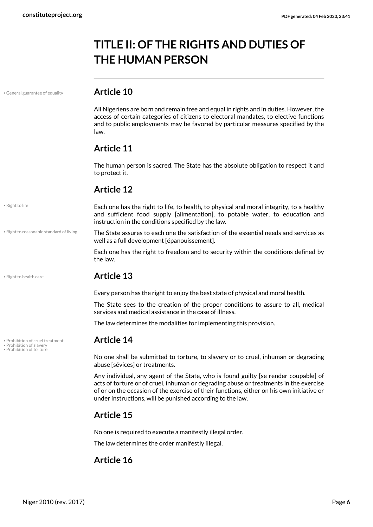## <span id="page-5-0"></span>**TITLE II: OF THE RIGHTS AND DUTIES OF THE HUMAN PERSON**

• General guarantee of equality **Article 10**

<span id="page-5-1"></span>All Nigeriens are born and remain free and equal in rights and in duties. However, the access of certain categories of citizens to electoral mandates, to elective functions and to public employments may be favored by particular measures specified by the law.

#### **Article 11**

The human person is sacred. The State has the absolute obligation to respect it and to protect it.

#### **Article 12**

Each one has the right to life, to health, to physical and moral integrity, to a healthy and sufficient food supply [alimentation], to potable water, to education and instruction in the conditions specified by the law.

<span id="page-5-7"></span>The State assures to each one the satisfaction of the essential needs and services as well as a full development [épanouissement].

Each one has the right to freedom and to security within the conditions defined by the law.

#### • Right to health care **Article 13**

Every person has the right to enjoy the best state of physical and moral health.

The State sees to the creation of the proper conditions to assure to all, medical services and medical assistance in the case of illness.

The law determines the modalities for implementing this provision.

#### <span id="page-5-4"></span><span id="page-5-3"></span>**Prohibition of cruel treatment Article 14**

<span id="page-5-2"></span>No one shall be submitted to torture, to slavery or to cruel, inhuman or degrading abuse [sévices] or treatments.

Any individual, any agent of the State, who is found guilty [se render coupable] of acts of torture or of cruel, inhuman or degrading abuse or treatments in the exercise of or on the occasion of the exercise of their functions, either on his own initiative or under instructions, will be punished according to the law.

### **Article 15**

No one is required to execute a manifestly illegal order.

The law determines the order manifestly illegal.

### **Article 16**

```
• Right to reasonable standard of living
```
<span id="page-5-6"></span>• Right to life

<span id="page-5-5"></span>

• Prohibition of slavery<br>• Prohibition of torture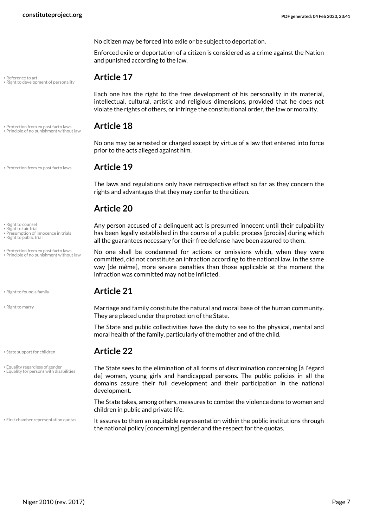No citizen may be forced into exile or be subject to deportation.

Enforced exile or deportation of a citizen is considered as a crime against the Nation and punished according to the law.

<span id="page-6-8"></span>Each one has the right to the free development of his personality in its material, intellectual, cultural, artistic and religious dimensions, provided that he does not violate the rights of others, or infringe the constitutional order, the law or morality.

No one may be arrested or charged except by virtue of a law that entered into force prior to the acts alleged against him.

#### • Protection from ex post facto laws **Article 19**

The laws and regulations only have retrospective effect so far as they concern the rights and advantages that they may confer to the citizen.

#### **Article 20**

<span id="page-6-3"></span>Any person accused of a delinquent act is presumed innocent until their culpability has been legally established in the course of a public process [procès] during which all the guarantees necessary for their free defense have been assured to them.

<span id="page-6-5"></span><span id="page-6-4"></span>No one shall be condemned for actions or omissions which, when they were committed, did not constitute an infraction according to the national law. In the same way [de même], more severe penalties than those applicable at the moment the infraction was committed may not be inflicted.

#### • Right to found a family **Article 21**

Marriage and family constitute the natural and moral base of the human community. They are placed under the protection of the State.

The State and public collectivities have the duty to see to the physical, mental and moral health of the family, particularly of the mother and of the child.

#### • State support for children **Article 22**

<span id="page-6-13"></span><span id="page-6-1"></span><span id="page-6-0"></span>The State sees to the elimination of all forms of discrimination concerning [à l'égard de] women, young girls and handicapped persons. The public policies in all the domains assure their full development and their participation in the national development.

The State takes, among others, measures to combat the violence done to women and children in public and private life.

<span id="page-6-2"></span>It assures to them an equitable representation within the public institutions through the national policy [concerning] gender and the respect for the quotas.

<span id="page-6-6"></span>• Reference to art **Article 17** • Right to development of personality

• Protection from ex post facto laws **Article 18** • Principle of no punishment without law

#### <span id="page-6-7"></span>• Right to counsel

- <span id="page-6-12"></span><span id="page-6-9"></span>• Right to fair trial • Presumption of innocence in trials
- Right to public trial
- Protection from ex post facto laws • Principle of no punishment without law

<span id="page-6-10"></span>

<span id="page-6-11"></span>• Right to marry

• Equality regardless of gender • Equality for persons with disabilities

• First chamber representation quotas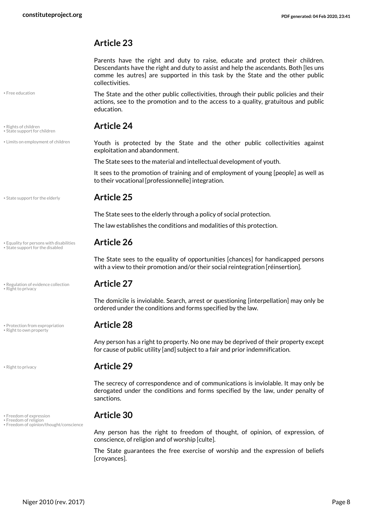#### **Article 23**

Parents have the right and duty to raise, educate and protect their children. Descendants have the right and duty to assist and help the ascendants. Both [les uns comme les autres] are supported in this task by the State and the other public collectivities.

The State and the other public collectivities, through their public policies and their actions, see to the promotion and to the access to a quality, gratuitous and public education.

## <span id="page-7-10"></span>• Rights of children **Article 24** • State support for children

<span id="page-7-11"></span><span id="page-7-5"></span>Youth is protected by the State and the other public collectivities against exploitation and abandonment.

The State sees to the material and intellectual development of youth.

It sees to the promotion of training and of employment of young [people] as well as to their vocational [professionnelle] integration.

• State support for the elderly **Article 25** 

• Limits on employment of children

<span id="page-7-1"></span>• Free education

<span id="page-7-13"></span>The State sees to the elderly through a policy of social protection.

The law establishes the conditions and modalities of this protection.

<span id="page-7-12"></span><span id="page-7-0"></span>The State sees to the equality of opportunities [chances] for handicapped persons with a view to their promotion and/or their social reintegration [réinsertion].

<span id="page-7-7"></span>The domicile is inviolable. Search, arrest or questioning [interpellation] may only be ordered under the conditions and forms specified by the law.

<span id="page-7-6"></span>Any person has a right to property. No one may be deprived of their property except for cause of public utility [and] subject to a fair and prior indemnification.

#### • Right to privacy **Article 29**

The secrecy of correspondence and of communications is inviolable. It may only be derogated under the conditions and forms specified by the law, under penalty of sanctions.

### • Freedom of expression **Article 30** • Freedom of religion

<span id="page-7-3"></span>Any person has the right to freedom of thought, of opinion, of expression, of conscience, of religion and of worship [culte].

The State guarantees the free exercise of worship and the expression of beliefs [croyances].

• Equality for persons with disabilities **Article 26** • State support for the disabled

• Regulation of evidence collection **Article 27** • Right to privacy

<span id="page-7-8"></span>• Protection from expropriation **Article 28** • Right to own property

<span id="page-7-9"></span>

<span id="page-7-4"></span><span id="page-7-2"></span>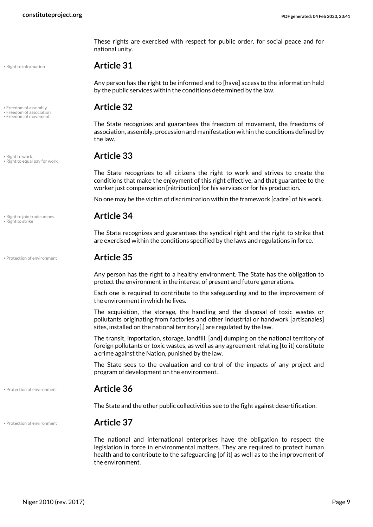These rights are exercised with respect for public order, for social peace and for national unity.

#### <span id="page-8-5"></span>• Right to information **Article 31**

Any person has the right to be informed and to [have] access to the information held by the public services within the conditions determined by the law.

## <span id="page-8-0"></span>• Freedom of assembly **Article 32** • Freedom of association

<span id="page-8-2"></span><span id="page-8-1"></span>The State recognizes and guarantees the freedom of movement, the freedoms of association, assembly, procession and manifestation within the conditions defined by the law.

<span id="page-8-4"></span>The State recognizes to all citizens the right to work and strives to create the conditions that make the enjoyment of this right effective, and that guarantee to the worker just compensation [rétribution] for his services or for his production.

No one may be the victim of discrimination within the framework [cadre] of his work.

<span id="page-8-6"></span>The State recognizes and guarantees the syndical right and the right to strike that are exercised within the conditions specified by the laws and regulations in force.

#### • Protection of environment **Article 35**

Any person has the right to a healthy environment. The State has the obligation to protect the environment in the interest of present and future generations.

Each one is required to contribute to the safeguarding and to the improvement of the environment in which he lives.

The acquisition, the storage, the handling and the disposal of toxic wastes or pollutants originating from factories and other industrial or handwork [artisanales] sites, installed on the national territory[,] are regulated by the law.

The transit, importation, storage, landfill, [and] dumping on the national territory of foreign pollutants or toxic wastes, as well as any agreement relating [to it] constitute a crime against the Nation, punished by the law.

The State sees to the evaluation and control of the impacts of any project and program of development on the environment.

• Protection of environment **Article 36**

The State and the other public collectivities see to the fight against desertification.

#### • Protection of environment **Article 37**

<span id="page-8-3"></span>The national and international enterprises have the obligation to respect the legislation in force in environmental matters. They are required to protect human health and to contribute to the safeguarding [of it] as well as to the improvement of the environment.

• Freedom of movement

<span id="page-8-8"></span>• Right to work **Article 33** • Right to equal pay for work

<span id="page-8-7"></span>• Right to join trade unions **Article 34** • Right to strike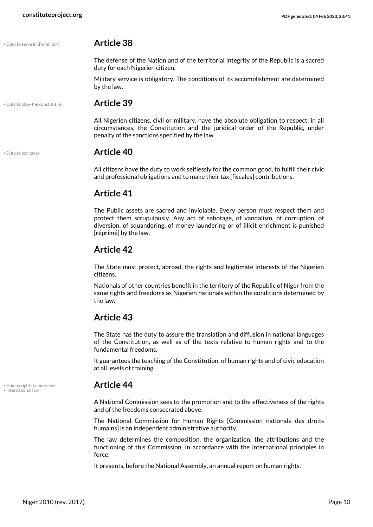#### • Duty to serve in the military **Article 38**

<span id="page-9-2"></span>The defense of the Nation and of the territorial integrity of the Republic is a sacred duty for each Nigerien citizen.

Military service is obligatory. The conditions of its accomplishment are determined by the law.

• Duty to obey the constitution **Article 39**

<span id="page-9-0"></span>All Nigerien citizens, civil or military, have the absolute obligation to respect, in all circumstances, the Constitution and the juridical order of the Republic, under penalty of the sanctions specified by the law.

<span id="page-9-1"></span>• Duty to pay taxes **Article 40**

All citizens have the duty to work selflessly for the common good, to fulfill their civic and professional obligations and to make their tax [fiscales] contributions.

#### **Article 41**

The Public assets are sacred and inviolable. Every person must respect them and protect them scrupulously. Any act of sabotage, of vandalism, of corruption, of diversion, of squandering, of money laundering or of illicit enrichment is punished [réprimé] by the law.

#### **Article 42**

The State must protect, abroad, the rights and legitimate interests of the Nigerien citizens.

Nationals of other countries benefit in the territory of the Republic of Niger from the same rights and freedoms as Nigerien nationals within the conditions determined by the law.

#### **Article 43**

The State has the duty to assure the translation and diffusion in national languages of the Constitution, as well as of the texts relative to human rights and to the fundamental freedoms.

It guarantees the teaching of the Constitution, of human rights and of civic education at all levels of training.

<span id="page-9-3"></span>A National Commission sees to the promotion and to the effectiveness of the rights and of the freedoms consecrated above.

The National Commission for Human Rights [Commission nationale des droits humains] is an independent administrative authority.

The law determines the composition, the organization, the attributions and the functioning of this Commission, in accordance with the international principles in force.

It presents, before the National Assembly, an annual report on human rights.

<span id="page-9-4"></span>• Human rights commission **Article 44** • International law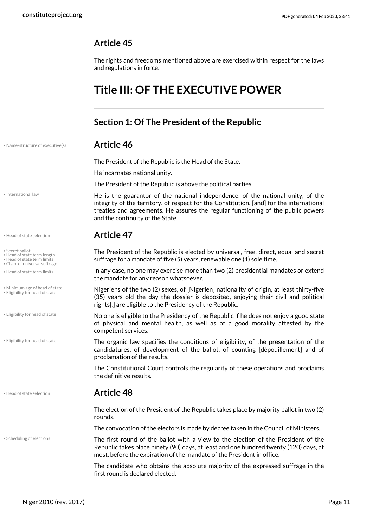#### **Article 45**

The rights and freedoms mentioned above are exercised within respect for the laws and regulations in force.

## <span id="page-10-0"></span>**Title III: OF THE EXECUTIVE POWER**

### <span id="page-10-1"></span>**Section 1: Of The President of the Republic**

| <b>Article 46</b> |
|-------------------|
|                   |

<span id="page-10-9"></span>The President of the Republic is the Head of the State.

He incarnates national unity.

The President of the Republic is above the political parties.

He is the guarantor of the national independence, of the national unity, of the integrity of the territory, of respect for the Constitution, [and] for the international treaties and agreements. He assures the regular functioning of the public powers and the continuity of the State.

#### • Head of state selection **Article 47**

The President of the Republic is elected by universal, free, direct, equal and secret suffrage for a mandate of five (5) years, renewable one (1) sole time.

<span id="page-10-6"></span><span id="page-10-5"></span><span id="page-10-2"></span>In any case, no one may exercise more than two (2) presidential mandates or extend the mandate for any reason whatsoever.

<span id="page-10-8"></span>Nigeriens of the two (2) sexes, of [Nigerien] nationality of origin, at least thirty-five (35) years old the day the dossier is deposited, enjoying their civil and political rights[,] are eligible to the Presidency of the Republic.

No one is eligible to the Presidency of the Republic if he does not enjoy a good state of physical and mental health, as well as of a good morality attested by the competent services.

<span id="page-10-3"></span>The organic law specifies the conditions of eligibility, of the presentation of the candidatures, of development of the ballot, of counting [dépouillement] and of proclamation of the results.

The Constitutional Court controls the regularity of these operations and proclaims the definitive results.

#### • Head of state selection **Article 48**

The election of the President of the Republic takes place by majority ballot in two (2) rounds.

The convocation of the electors is made by decree taken in the Council of Ministers.

<span id="page-10-10"></span>The first round of the ballot with a view to the election of the President of the Republic takes place ninety (90) days, at least and one hundred twenty (120) days, at most, before the expiration of the mandate of the President in office.

The candidate who obtains the absolute majority of the expressed suffrage in the first round is declared elected.

<span id="page-10-7"></span>• International law

<span id="page-10-11"></span>• Secret ballot

• Head of state term length • Head of state term limits

• Claim of universal suffrage

• Head of state term limits

• Minimum age of head of state • Eligibility for head of state

• Eligibility for head of state

• Eligibility for head of state

<span id="page-10-4"></span>

• Scheduling of elections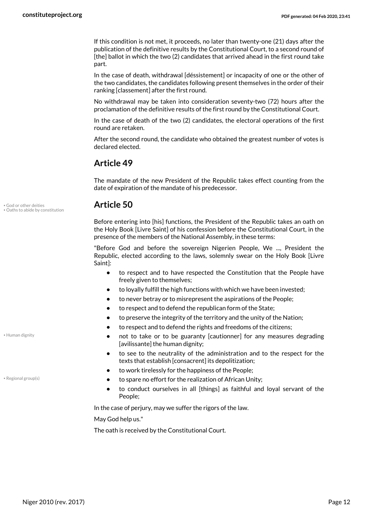If this condition is not met, it proceeds, no later than twenty-one (21) days after the publication of the definitive results by the Constitutional Court, to a second round of [the] ballot in which the two (2) candidates that arrived ahead in the first round take part.

In the case of death, withdrawal [déssistement] or incapacity of one or the other of the two candidates, the candidates following present themselves in the order of their ranking [classement] after the first round.

No withdrawal may be taken into consideration seventy-two (72) hours after the proclamation of the definitive results of the first round by the Constitutional Court.

In the case of death of the two (2) candidates, the electoral operations of the first round are retaken.

After the second round, the candidate who obtained the greatest number of votes is declared elected.

#### **Article 49**

The mandate of the new President of the Republic takes effect counting from the date of expiration of the mandate of his predecessor.

<span id="page-11-2"></span>Before entering into [his] functions, the President of the Republic takes an oath on the Holy Book [Livre Saint] of his confession before the Constitutional Court, in the presence of the members of the National Assembly, in these terms:

"Before God and before the sovereign Nigerien People, We ..., President the Republic, elected according to the laws, solemnly swear on the Holy Book [Livre Saint]:

- **•** to respect and to have respected the Constitution that the People have freely given to themselves;
- **•** to loyally fulfill the high functions with which we have been invested;
- **•** to never betray or to misrepresent the aspirations of the People;
- **•** to respect and to defend the republican form of the State;
- **•** to preserve the integrity of the territory and the unity of the Nation;
- **•** to respect and to defend the rights and freedoms of the citizens;
- **•** not to take or to be guaranty [cautionner] for any measures degrading [avilissante] the human dignity;
- **•** to see to the neutrality of the administration and to the respect for the texts that establish [consacrent] its depolitization;
- **•** to work tirelessly for the happiness of the People;
- **•** to spare no effort for the realization of African Unity; Regional group(s)
	- **•** to conduct ourselves in all [things] as faithful and loyal servant of the People;

In the case of perjury, may we suffer the rigors of the law.

May God help us."

The oath is received by the Constitutional Court.

<span id="page-11-0"></span>• God or other deities **Article 50** • Oaths to abide by constitution

<span id="page-11-1"></span>• Human dignity

<span id="page-11-3"></span>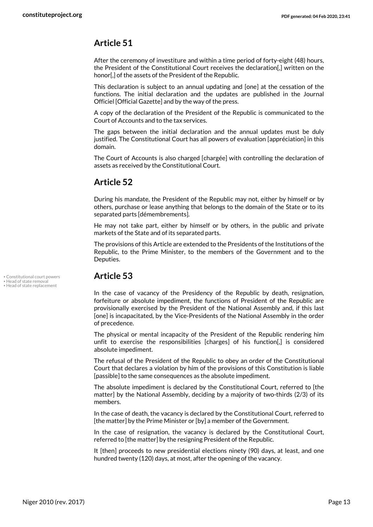#### **Article 51**

After the ceremony of investiture and within a time period of forty-eight (48) hours, the President of the Constitutional Court receives the declaration[,] written on the honor[,] of the assets of the President of the Republic.

This declaration is subject to an annual updating and [one] at the cessation of the functions. The initial declaration and the updates are published in the Journal Officiel [Official Gazette] and by the way of the press.

A copy of the declaration of the President of the Republic is communicated to the Court of Accounts and to the tax services.

The gaps between the initial declaration and the annual updates must be duly justified. The Constitutional Court has all powers of evaluation [appréciation] in this domain.

The Court of Accounts is also charged [chargée] with controlling the declaration of assets as received by the Constitutional Court.

#### **Article 52**

During his mandate, the President of the Republic may not, either by himself or by others, purchase or lease anything that belongs to the domain of the State or to its separated parts [démembrements].

He may not take part, either by himself or by others, in the public and private markets of the State and of its separated parts.

The provisions of this Article are extended to the Presidents of the Institutions of the Republic, to the Prime Minister, to the members of the Government and to the Deputies.

<span id="page-12-1"></span>

• Head of state replacement

### • Constitutional court powers **Article 53** • Head of state removal

<span id="page-12-2"></span><span id="page-12-0"></span>In the case of vacancy of the Presidency of the Republic by death, resignation, forfeiture or absolute impediment, the functions of President of the Republic are provisionally exercised by the President of the National Assembly and, if this last [one] is incapacitated, by the Vice-Presidents of the National Assembly in the order of precedence.

The physical or mental incapacity of the President of the Republic rendering him unfit to exercise the responsibilities [charges] of his function[,] is considered absolute impediment.

The refusal of the President of the Republic to obey an order of the Constitutional Court that declares a violation by him of the provisions of this Constitution is liable [passible] to the same consequences as the absolute impediment.

The absolute impediment is declared by the Constitutional Court, referred to [the matter] by the National Assembly, deciding by a majority of two-thirds (2/3) of its members.

In the case of death, the vacancy is declared by the Constitutional Court, referred to [the matter] by the Prime Minister or [by] a member of the Government.

In the case of resignation, the vacancy is declared by the Constitutional Court, referred to [the matter] by the resigning President of the Republic.

It [then] proceeds to new presidential elections ninety (90) days, at least, and one hundred twenty (120) days, at most, after the opening of the vacancy.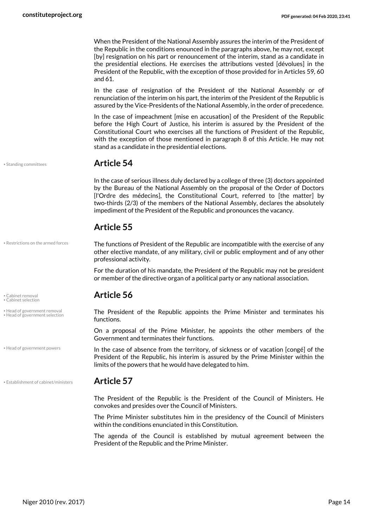When the President of the National Assembly assures the interim of the President of the Republic in the conditions enounced in the paragraphs above, he may not, except [by] resignation on his part or renouncement of the interim, stand as a candidate in the presidential elections. He exercises the attributions vested [dévolues] in the President of the Republic, with the exception of those provided for in Articles 59, 60 and 61.

In the case of resignation of the President of the National Assembly or of renunciation of the interim on his part, the interim of the President of the Republic is assured by the Vice-Presidents of the National Assembly, in the order of precedence.

In the case of impeachment [mise en accusation] of the President of the Republic before the High Court of Justice, his interim is assured by the President of the Constitutional Court who exercises all the functions of President of the Republic, with the exception of those mentioned in paragraph 8 of this Article. He may not stand as a candidate in the presidential elections.

<span id="page-13-7"></span>

#### • Standing committees **Article 54**

In the case of serious illness duly declared by a college of three (3) doctors appointed by the Bureau of the National Assembly on the proposal of the Order of Doctors [l'Ordre des médecins], the Constitutional Court, referred to [the matter] by two-thirds (2/3) of the members of the National Assembly, declares the absolutely impediment of the President of the Republic and pronounces the vacancy.

<span id="page-13-6"></span>The functions of President of the Republic are incompatible with the exercise of any other elective mandate, of any military, civil or public employment and of any other

For the duration of his mandate, the President of the Republic may not be president or member of the directive organ of a political party or any national association.

#### **Article 55**

professional activity.

• Restrictions on the armed forces

<span id="page-13-1"></span><span id="page-13-0"></span>

• Head of government removal • Head of government selection

• Head of government powers

• Establishment of cabinet/ministers **Article 57**

## • Cabinet removal **Article 56** • Cabinet selection

<span id="page-13-5"></span><span id="page-13-4"></span>The President of the Republic appoints the Prime Minister and terminates his functions.

On a proposal of the Prime Minister, he appoints the other members of the Government and terminates their functions.

<span id="page-13-3"></span>In the case of absence from the territory, of sickness or of vacation [congé] of the President of the Republic, his interim is assured by the Prime Minister within the limits of the powers that he would have delegated to him.

<span id="page-13-2"></span>The President of the Republic is the President of the Council of Ministers. He convokes and presides over the Council of Ministers.

The Prime Minister substitutes him in the presidency of the Council of Ministers within the conditions enunciated in this Constitution.

The agenda of the Council is established by mutual agreement between the President of the Republic and the Prime Minister.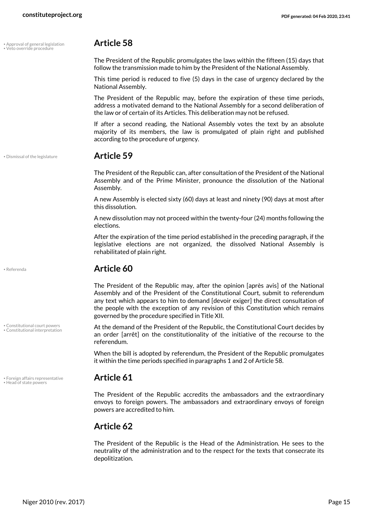### • Approval of general legislation **Article 58** • Veto override procedure

<span id="page-14-7"></span><span id="page-14-0"></span>The President of the Republic promulgates the laws within the fifteen (15) days that follow the transmission made to him by the President of the National Assembly.

This time period is reduced to five (5) days in the case of urgency declared by the National Assembly.

The President of the Republic may, before the expiration of these time periods, address a motivated demand to the National Assembly for a second deliberation of the law or of certain of its Articles. This deliberation may not be refused.

If after a second reading, the National Assembly votes the text by an absolute majority of its members, the law is promulgated of plain right and published according to the procedure of urgency.

#### • Dismissal of the legislature **Article 59**

<span id="page-14-3"></span>The President of the Republic can, after consultation of the President of the National Assembly and of the Prime Minister, pronounce the dissolution of the National Assembly.

A new Assembly is elected sixty (60) days at least and ninety (90) days at most after this dissolution.

A new dissolution may not proceed within the twenty-four (24) months following the elections.

After the expiration of the time period established in the preceding paragraph, if the legislative elections are not organized, the dissolved National Assembly is rehabilitated of plain right.

<span id="page-14-6"></span>

• Referenda **Article 60**

The President of the Republic may, after the opinion [après avis] of the National Assembly and of the President of the Constitutional Court, submit to referendum any text which appears to him to demand [devoir exiger] the direct consultation of the people with the exception of any revision of this Constitution which remains governed by the procedure specified in Title XII.

<span id="page-14-2"></span><span id="page-14-1"></span>At the demand of the President of the Republic, the Constitutional Court decides by an order [arrêt] on the constitutionality of the initiative of the recourse to the referendum.

When the bill is adopted by referendum, the President of the Republic promulgates it within the time periods specified in paragraphs 1 and 2 of Article 58.

<span id="page-14-4"></span>The President of the Republic accredits the ambassadors and the extraordinary envoys to foreign powers. The ambassadors and extraordinary envoys of foreign powers are accredited to him.

#### **Article 62**

The President of the Republic is the Head of the Administration. He sees to the neutrality of the administration and to the respect for the texts that consecrate its depolitization.

<span id="page-14-5"></span>• Foreign affairs representative **Article 61** • Head of state powers

• Constitutional court powers • Constitutional interpretation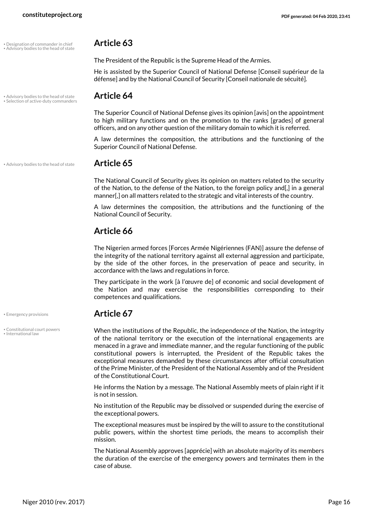• Designation of commander in chief **Article 63** • Advisory bodies to the head of state

### • Advisory bodies to the head of state **Article 64** • Selection of active-duty commanders

<span id="page-15-5"></span>The Superior Council of National Defense gives its opinion [avis] on the appointment to high military functions and on the promotion to the ranks [grades] of general officers, and on any other question of the military domain to which it is referred.

He is assisted by the Superior Council of National Defense [Conseil supérieur de la défense] and by the National Council of Security [Conseil nationale de sécuité].

<span id="page-15-2"></span>The President of the Republic is the Supreme Head of the Armies.

A law determines the composition, the attributions and the functioning of the Superior Council of National Defense.

• Advisory bodies to the head of state **Article 65**

<span id="page-15-0"></span>The National Council of Security gives its opinion on matters related to the security of the Nation, to the defense of the Nation, to the foreign policy and[,] in a general manner[,] on all matters related to the strategic and vital interests of the country.

A law determines the composition, the attributions and the functioning of the National Council of Security.

#### **Article 66**

The Nigerien armed forces [Forces Armée Nigériennes (FAN)] assure the defense of the integrity of the national territory against all external aggression and participate, by the side of the other forces, in the preservation of peace and security, in accordance with the laws and regulations in force.

They participate in the work [à l'œuvre de] of economic and social development of the Nation and may exercise the responsibilities corresponding to their competences and qualifications.

#### • Emergency provisions **Article 67**

<span id="page-15-1"></span>When the institutions of the Republic, the independence of the Nation, the integrity of the national territory or the execution of the international engagements are menaced in a grave and immediate manner, and the regular functioning of the public constitutional powers is interrupted, the President of the Republic takes the exceptional measures demanded by these circumstances after official consultation of the Prime Minister, of the President of the National Assembly and of the President of the Constitutional Court.

He informs the Nation by a message. The National Assembly meets of plain right if it is not in session.

No institution of the Republic may be dissolved or suspended during the exercise of the exceptional powers.

The exceptional measures must be inspired by the will to assure to the constitutional public powers, within the shortest time periods, the means to accomplish their mission.

The National Assembly approves [apprécie] with an absolute majority of its members the duration of the exercise of the emergency powers and terminates them in the case of abuse.

<span id="page-15-3"></span>

<span id="page-15-4"></span>• Constitutional court powers • International law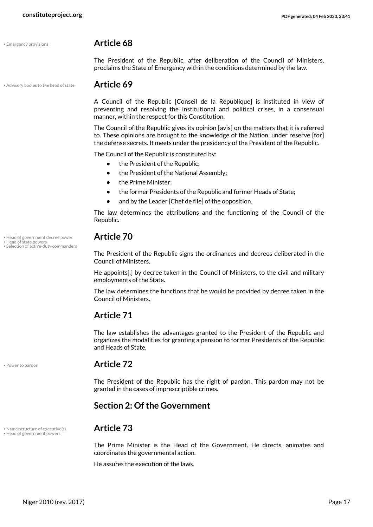#### <span id="page-16-2"></span>• Emergency provisions **Article 68**

The President of the Republic, after deliberation of the Council of Ministers, proclaims the State of Emergency within the conditions determined by the law.

• Advisory bodies to the head of state **Article 69**

<span id="page-16-1"></span>A Council of the Republic [Conseil de la République] is instituted in view of preventing and resolving the institutional and political crises, in a consensual manner, within the respect for this Constitution.

The Council of the Republic gives its opinion [avis] on the matters that it is referred to. These opinions are brought to the knowledge of the Nation, under reserve [for] the defense secrets. It meets under the presidency of the President of the Republic.

The Council of the Republic is constituted by:

- **•** the President of the Republic;
- **•** the President of the National Assembly;
- **•** the Prime Minister;
- **•** the former Presidents of the Republic and former Heads of State;
- **•** and by the Leader [Chef de file] of the opposition.

The law determines the attributions and the functioning of the Council of the Republic.

## <span id="page-16-5"></span>• Head of government decree power **Article 70** • Head of state powers • Selection of active-duty commanders

<span id="page-16-8"></span><span id="page-16-3"></span>The President of the Republic signs the ordinances and decrees deliberated in the Council of Ministers.

He appoints[,] by decree taken in the Council of Ministers, to the civil and military employments of the State.

The law determines the functions that he would be provided by decree taken in the Council of Ministers.

#### **Article 71**

The law establishes the advantages granted to the President of the Republic and organizes the modalities for granting a pension to former Presidents of the Republic and Heads of State.

<span id="page-16-7"></span>

#### • Power to pardon **Article 72**

The President of the Republic has the right of pardon. This pardon may not be granted in the cases of imprescriptible crimes.

#### <span id="page-16-0"></span>**Section 2: Of the Government**

### • Name/structure of executive(s) **Article 73** • Head of government powers

<span id="page-16-6"></span><span id="page-16-4"></span>The Prime Minister is the Head of the Government. He directs, animates and coordinates the governmental action.

He assures the execution of the laws.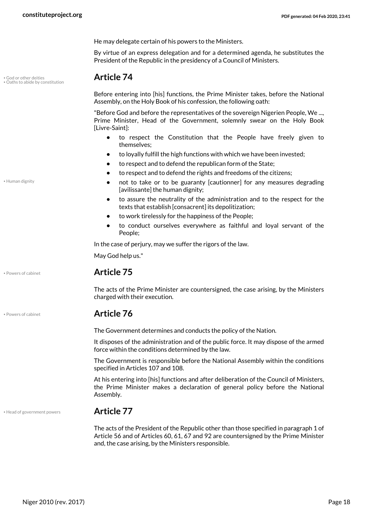He may delegate certain of his powers to the Ministers.

By virtue of an express delegation and for a determined agenda, he substitutes the President of the Republic in the presidency of a Council of Ministers.

### <span id="page-17-0"></span>• God or other deities **Article 74** • Oaths to abide by constitution

<span id="page-17-3"></span>Before entering into [his] functions, the Prime Minister takes, before the National Assembly, on the Holy Book of his confession, the following oath:

"Before God and before the representatives of the sovereign Nigerien People, We ..., Prime Minister, Head of the Government, solemnly swear on the Holy Book [Livre-Saint]:

- **•** to respect the Constitution that the People have freely given to themselves;
- **•** to loyally fulfill the high functions with which we have been invested;
- **•** to respect and to defend the republican form of the State;
- **•** to respect and to defend the rights and freedoms of the citizens;
- **•** not to take or to be guaranty [cautionner] for any measures degrading [avilissante] the human dignity;
- **•** to assure the neutrality of the administration and to the respect for the texts that establish [consacrent] its depolitization;
- **•** to work tirelessly for the happiness of the People;
- **•** to conduct ourselves everywhere as faithful and loyal servant of the People;

In the case of perjury, may we suffer the rigors of the law.

May God help us."

#### • Powers of cabinet **Article 75**

The acts of the Prime Minister are countersigned, the case arising, by the Ministers charged with their execution.

#### <span id="page-17-4"></span>• Powers of cabinet **Article 76**

The Government determines and conducts the policy of the Nation.

It disposes of the administration and of the public force. It may dispose of the armed force within the conditions determined by the law.

The Government is responsible before the National Assembly within the conditions specified in Articles 107 and 108.

At his entering into [his] functions and after deliberation of the Council of Ministers, the Prime Minister makes a declaration of general policy before the National Assembly.

• Head of government powers **Article 77**

<span id="page-17-1"></span>The acts of the President of the Republic other than those specified in paragraph 1 of Article 56 and of Articles 60, 61, 67 and 92 are countersigned by the Prime Minister and, the case arising, by the Ministers responsible.

<span id="page-17-2"></span>• Human dignity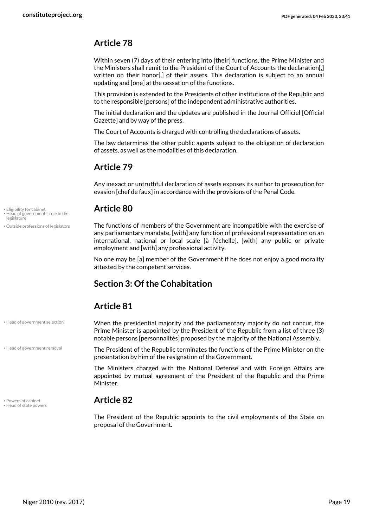### **Article 78**

Within seven (7) days of their entering into [their] functions, the Prime Minister and the Ministers shall remit to the President of the Court of Accounts the declaration[,] written on their honor. I of their assets. This declaration is subject to an annual updating and [one] at the cessation of the functions.

This provision is extended to the Presidents of other institutions of the Republic and to the responsible [persons] of the independent administrative authorities.

The initial declaration and the updates are published in the Journal Officiel [Official Gazette] and by way of the press.

The Court of Accounts is charged with controlling the declarations of assets.

The law determines the other public agents subject to the obligation of declaration of assets, as well as the modalities of this declaration.

#### **Article 79**

Any inexact or untruthful declaration of assets exposes its author to prosecution for evasion [chef de faux] in accordance with the provisions of the Penal Code.

## • Eligibility for cabinet **Article 80** • Head of government's role in the

<span id="page-18-6"></span>The functions of members of the Government are incompatible with the exercise of any parliamentary mandate, [with] any function of professional representation on an international, national or local scale [à l'échelle], [with] any public or private employment and [with] any professional activity.

No one may be [a] member of the Government if he does not enjoy a good morality attested by the competent services.

### <span id="page-18-0"></span>**Section 3: Of the Cohabitation**

#### **Article 81**

• Head of government selection

• Outside professions of legislators

<span id="page-18-4"></span><span id="page-18-1"></span>legislature

• Head of government removal

<span id="page-18-7"></span><span id="page-18-5"></span>• Powers of cabinet **Article 82** • Head of state powers

<span id="page-18-3"></span>When the presidential majority and the parliamentary majority do not concur, the Prime Minister is appointed by the President of the Republic from a list of three (3) notable persons [personnalités] proposed by the majority of the National Assembly.

<span id="page-18-2"></span>The President of the Republic terminates the functions of the Prime Minister on the presentation by him of the resignation of the Government.

The Ministers charged with the National Defense and with Foreign Affairs are appointed by mutual agreement of the President of the Republic and the Prime Minister.

The President of the Republic appoints to the civil employments of the State on proposal of the Government.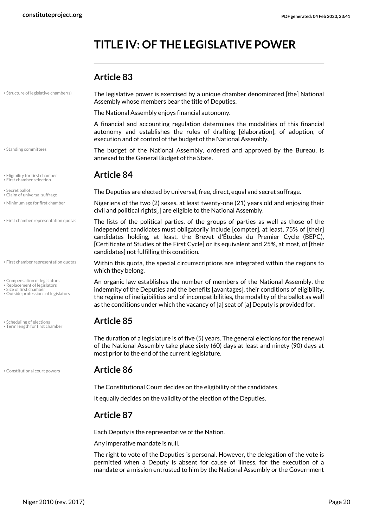## <span id="page-19-0"></span>**TITLE IV: OF THE LEGISLATIVE POWER**

#### **Article 83**

• Structure of legislative chamber(s)

<span id="page-19-14"></span>The legislative power is exercised by a unique chamber denominated [the] National Assembly whose members bear the title of Deputies.

The National Assembly enjoys financial autonomy.

A financial and accounting regulation determines the modalities of this financial autonomy and establishes the rules of drafting [élaboration], of adoption, of execution and of control of the budget of the National Assembly.

<span id="page-19-13"></span><span id="page-19-4"></span>The budget of the National Assembly, ordered and approved by the Bureau, is annexed to the General Budget of the State.

<span id="page-19-11"></span>• Secret ballot and secret suffrage.<br>• Secret ballot and secret suffrage.

<span id="page-19-7"></span><span id="page-19-6"></span><span id="page-19-1"></span>Nigeriens of the two (2) sexes, at least twenty-one (21) years old and enjoying their civil and political rights[,] are eligible to the National Assembly.

The lists of the political parties, of the groups of parties as well as those of the independent candidates must obligatorily include [compter], at least, 75% of [their] candidates holding, at least, the Brevet d'Études du Premier Cycle (BEPC), [Certificate of Studies of the First Cycle] or its equivalent and 25%, at most, of [their candidates] not fulfilling this condition.

<span id="page-19-5"></span>Within this quota, the special circumscriptions are integrated within the regions to which they belong.

<span id="page-19-9"></span><span id="page-19-8"></span><span id="page-19-2"></span>An organic law establishes the number of members of the National Assembly, the indemnity of the Deputies and the benefits [avantages], their conditions of eligibility, the regime of ineligibilities and of incompatibilities, the modality of the ballot as well as the conditions under which the vacancy of [a] seat of [a] Deputy is provided for.

<span id="page-19-15"></span><span id="page-19-10"></span>The duration of a legislature is of five (5) years. The general elections for the renewal of the National Assembly take place sixty (60) days at least and ninety (90) days at most prior to the end of the current legislature.

#### • Constitutional court powers **Article 86**

<span id="page-19-3"></span>The Constitutional Court decides on the eligibility of the candidates.

It equally decides on the validity of the election of the Deputies.

### **Article 87**

Each Deputy is the representative of the Nation.

Any imperative mandate is null.

The right to vote of the Deputies is personal. However, the delegation of the vote is permitted when a Deputy is absent for cause of illness, for the execution of a mandate or a mission entrusted to him by the National Assembly or the Government

• Standing committees

• Eligibility for first chamber **Article 84** • First chamber selection

• Claim of universal suffrage

• Minimum age for first chamber

• First chamber representation quotas

• First chamber representation quotas

<span id="page-19-12"></span>• Compensation of legislators

• Replacement of legislators • Size of first chamber

• Outside professions of legislators

• Scheduling of elections **Article 85** • Term length for first chamber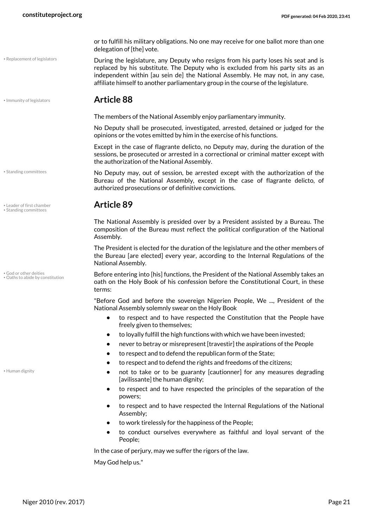or to fulfill his military obligations. No one may receive for one ballot more than one delegation of [the] vote.

<span id="page-20-5"></span>During the legislature, any Deputy who resigns from his party loses his seat and is replaced by his substitute. The Deputy who is excluded from his party sits as an independent within [au sein de] the National Assembly. He may not, in any case, affiliate himself to another parliamentary group in the course of the legislature.

#### <span id="page-20-2"></span>• Immunity of legislators **Article 88**

The members of the National Assembly enjoy parliamentary immunity.

No Deputy shall be prosecuted, investigated, arrested, detained or judged for the opinions or the votes emitted by him in the exercise of his functions.

Except in the case of flagrante delicto, no Deputy may, during the duration of the sessions, be prosecuted or arrested in a correctional or criminal matter except with the authorization of the National Assembly.

No Deputy may, out of session, be arrested except with the authorization of the Bureau of the National Assembly, except in the case of flagrante delicto, of authorized prosecutions or of definitive convictions.

<span id="page-20-3"></span>The National Assembly is presided over by a President assisted by a Bureau. The composition of the Bureau must reflect the political configuration of the National Assembly.

The President is elected for the duration of the legislature and the other members of the Bureau [are elected] every year, according to the Internal Regulations of the National Assembly.

<span id="page-20-4"></span>Before entering into [his] functions, the President of the National Assembly takes an oath on the Holy Book of his confession before the Constitutional Court, in these terms:

"Before God and before the sovereign Nigerien People, We ..., President of the National Assembly solemnly swear on the Holy Book

- **•** to respect and to have respected the Constitution that the People have freely given to themselves;
- **•** to loyally fulfill the high functions with which we have been invested;
- **•** never to betray or misrepresent [travestir] the aspirations of the People
- **•** to respect and to defend the republican form of the State;
- **•** to respect and to defend the rights and freedoms of the citizens;
- **•** not to take or to be guaranty [cautionner] for any measures degrading [avilissante] the human dignity;
- **•** to respect and to have respected the principles of the separation of the powers;
- **•** to respect and to have respected the Internal Regulations of the National Assembly;
- **•** to work tirelessly for the happiness of the People;
- **•** to conduct ourselves everywhere as faithful and loyal servant of the People;

In the case of perjury, may we suffer the rigors of the law.

May God help us."

• Standing committees

• Replacement of legislators

<span id="page-20-6"></span>• Leader of first chamber **Article 89** • Standing committees

<span id="page-20-0"></span>• God or other deities • Oaths to abide by constitution

<span id="page-20-1"></span>• Human dignity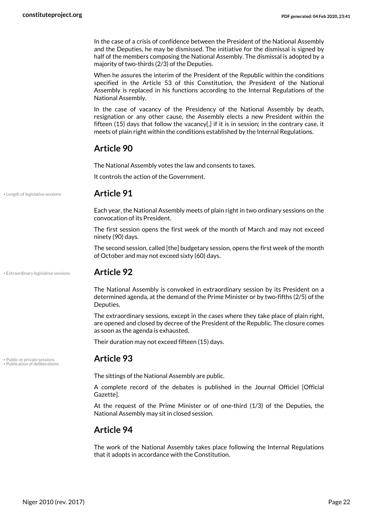In the case of a crisis of confidence between the President of the National Assembly and the Deputies, he may be dismissed. The initiative for the dismissal is signed by half of the members composing the National Assembly. The dismissal is adopted by a majority of two-thirds (2/3) of the Deputies.

When he assures the interim of the President of the Republic within the conditions specified in the Article 53 of this Constitution, the President of the National Assembly is replaced in his functions according to the Internal Regulations of the National Assembly.

In the case of vacancy of the Presidency of the National Assembly by death, resignation or any other cause, the Assembly elects a new President within the fifteen (15) days that follow the vacancy[,] if it is in session; in the contrary case, it meets of plain right within the conditions established by the Internal Regulations.

#### **Article 90**

The National Assembly votes the law and consents to taxes.

It controls the action of the Government.

• Length of legislative sessions **Article 91**

<span id="page-21-1"></span>Each year, the National Assembly meets of plain right in two ordinary sessions on the convocation of its President.

The first session opens the first week of the month of March and may not exceed ninety (90) days.

The second session, called [the] budgetary session, opens the first week of the month of October and may not exceed sixty (60) days.

• Extraordinary legislative sessions **Article 92**

<span id="page-21-0"></span>The National Assembly is convoked in extraordinary session by its President on a determined agenda, at the demand of the Prime Minister or by two-fifths (2/5) of the Deputies.

The extraordinary sessions, except in the cases where they take place of plain right, are opened and closed by decree of the President of the Republic. The closure comes as soon as the agenda is exhausted.

Their duration may not exceed fifteen (15) days.

• Public or private sessions **Article 93** • Publication of deliberations

<span id="page-21-3"></span><span id="page-21-2"></span>The sittings of the National Assembly are public.

A complete record of the debates is published in the Journal Officiel [Official Gazette].

At the request of the Prime Minister or of one-third (1/3) of the Deputies, the National Assembly may sit in closed session.

#### **Article 94**

The work of the National Assembly takes place following the Internal Regulations that it adopts in accordance with the Constitution.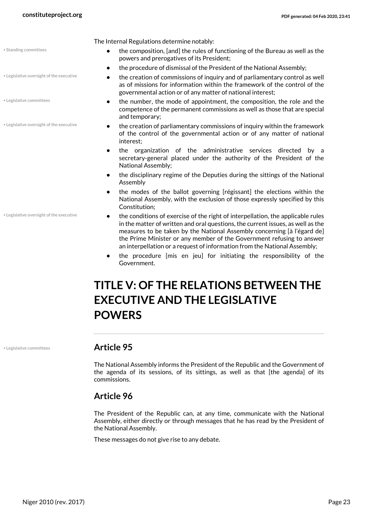<span id="page-22-3"></span>• Standing committees

• Legislative committees

• Legislative oversight of the executive

• Legislative oversight of the executive

• Legislative oversight of the executive

The Internal Regulations determine notably:

- **•** the composition, [and] the rules of functioning of the Bureau as well as the powers and prerogatives of its President;
- **•** the procedure of dismissal of the President of the National Assembly;
- **•** the creation of commissions of inquiry and of parliamentary control as well as of missions for information within the framework of the control of the governmental action or of any matter of national interest;
- **•** the number, the mode of appointment, the composition, the role and the competence of the permanent commissions as well as those that are special and temporary;
- **•** the creation of parliamentary commissions of inquiry within the framework of the control of the governmental action or of any matter of national interest;
- **•** the organization of the administrative services directed by a secretary-general placed under the authority of the President of the National Assembly;
- **•** the disciplinary regime of the Deputies during the sittings of the National Assembly
- **•** the modes of the ballot governing [régissant] the elections within the National Assembly, with the exclusion of those expressly specified by this Constitution;
- <span id="page-22-2"></span>**•** the conditions of exercise of the right of interpellation, the applicable rules in the matter of written and oral questions, the current issues, as well as the measures to be taken by the National Assembly concerning [à l'égard de] the Prime Minister or any member of the Government refusing to answer an interpellation or a request of information from the National Assembly;
- **•** the procedure [mis en jeu] for initiating the responsibility of the Government.

## <span id="page-22-0"></span>**TITLE V: OF THE RELATIONS BETWEEN THE EXECUTIVE AND THE LEGISLATIVE POWERS**

<span id="page-22-1"></span>

#### • Legislative committees **Article 95**

The National Assembly informs the President of the Republic and the Government of the agenda of its sessions, of its sittings, as well as that [the agenda] of its commissions.

#### **Article 96**

The President of the Republic can, at any time, communicate with the National Assembly, either directly or through messages that he has read by the President of the National Assembly.

These messages do not give rise to any debate.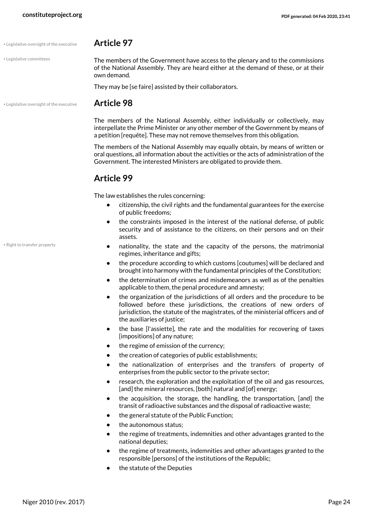#### • Legislative oversight of the executive **Article 97**

• Legislative committees

<span id="page-23-0"></span>The members of the Government have access to the plenary and to the commissions of the National Assembly. They are heard either at the demand of these, or at their own demand.

They may be [se faire] assisted by their collaborators.

• Legislative oversight of the executive **Article 98**

<span id="page-23-1"></span>

The members of the National Assembly, either individually or collectively, may interpellate the Prime Minister or any other member of the Government by means of a petition [requête]. These may not remove themselves from this obligation.

The members of the National Assembly may equally obtain, by means of written or oral questions, all information about the activities or the acts of administration of the Government. The interested Ministers are obligated to provide them.

#### **Article 99**

The law establishes the rules concerning:

- **•** citizenship, the civil rights and the fundamental guarantees for the exercise of public freedoms;
- **•** the constraints imposed in the interest of the national defense, of public security and of assistance to the citizens, on their persons and on their assets.
- <span id="page-23-2"></span>**•** nationality, the state and the capacity of the persons, the matrimonial regimes, inheritance and gifts;
- **•** the procedure according to which customs [coutumes] will be declared and brought into harmony with the fundamental principles of the Constitution;
- **•** the determination of crimes and misdemeanors as well as of the penalties applicable to them, the penal procedure and amnesty;
- **•** the organization of the jurisdictions of all orders and the procedure to be followed before these jurisdictions, the creations of new orders of jurisdiction, the statute of the magistrates, of the ministerial officers and of the auxiliaries of justice;
- **•** the base [l'assiette], the rate and the modalities for recovering of taxes [impositions] of any nature;
- **•** the regime of emission of the currency;
- **•** the creation of categories of public establishments;
- **•** the nationalization of enterprises and the transfers of property of enterprises from the public sector to the private sector;
- **•** research, the exploration and the exploitation of the oil and gas resources, [and] the mineral resources, [both] natural and [of] energy;
- **•** the acquisition, the storage, the handling, the transportation, [and] the transit of radioactive substances and the disposal of radioactive waste;
- **•** the general statute of the Public Function;
- **•** the autonomous status;
- **•** the regime of treatments, indemnities and other advantages granted to the national deputies;
- **•** the regime of treatments, indemnities and other advantages granted to the responsible [persons] of the institutions of the Republic;
- **•** the statute of the Deputies

• Right to transfer property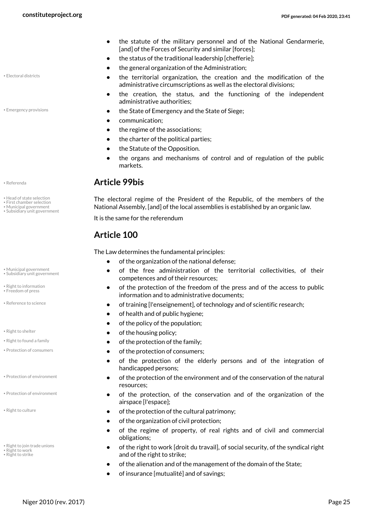- **•** the statute of the military personnel and of the National Gendarmerie, [and] of the Forces of Security and similar [forces];
- **•** the status of the traditional leadership [chefferie];
- **•** the general organization of the Administration;
- **•** the territorial organization, the creation and the modification of the administrative circumscriptions as well as the electoral divisions;
- **•** the creation, the status, and the functioning of the independent administrative authorities;
- Emergency provisions  **Emergency and the State of Siege; Conservery and the State of Siege;** 
	- **•** communication;
	- **•** the regime of the associations;
	- **•** the charter of the political parties;
	- **•** the Statute of the Opposition.
	- **•** the organs and mechanisms of control and of regulation of the public markets.

#### • Referenda **Article 99bis**

<span id="page-24-4"></span><span id="page-24-2"></span>The electoral regime of the President of the Republic, of the members of the National Assembly, [and] of the local assemblies is established by an organic law.

It is the same for the referendum

### **Article 100**

<span id="page-24-17"></span>The Law determines the fundamental principles:

- **•** of the organization of the national defense;
- **•** of the free administration of the territorial collectivities, of their competences and of their resources;
- **•** of the protection of the freedom of the press and of the access to public information and to administrative documents;
- Reference to science *• •* **<b>• • • • of training [l'enseignement], of technology and of scientific research;** 
	- **•** of health and of public hygiene;
	- **•** of the policy of the population;
- Right to shelter **•• Right to shelter •• Contract to shelter •• Of the housing policy;**
- Right to found a family **•• Contraction of the family; •• Contract of the family;**
- Protection of consumers  **Protection of consumers;** 
	- **•** of the protection of the elderly persons and of the integration of handicapped persons;
	- **•** of the protection of the environment and of the conservation of the natural resources;
	- **•** of the protection, of the conservation and of the organization of the airspace [l'espace];
- Right to culture **•• COVID-10 of the protection of the cultural patrimony;** 
	- **•** of the organization of civil protection;
	- **•** of the regime of property, of real rights and of civil and commercial obligations;
	- **•** of the right to work [droit du travail], of social security, of the syndical right and of the right to strike;
	- **•** of the alienation and of the management of the domain of the State;
	- **•** of insurance [mutualité] and of savings;

<span id="page-24-0"></span>• Electoral districts

<span id="page-24-1"></span>

<span id="page-24-9"></span>

- Head of state selection
- First chamber selection
- Municipal government • Subsidiary unit government
	-
- <span id="page-24-5"></span>• Municipal government • Subsidiary unit government
- <span id="page-24-12"></span><span id="page-24-3"></span>• Right to information • Freedom of press
- <span id="page-24-8"></span>
- <span id="page-24-14"></span>
- <span id="page-24-11"></span><span id="page-24-6"></span>
- 
- Protection of environment
- <span id="page-24-7"></span>• Protection of environment
- <span id="page-24-10"></span>
- <span id="page-24-16"></span><span id="page-24-13"></span>• Right to join trade unions • Right to work
- <span id="page-24-15"></span>• Right to strike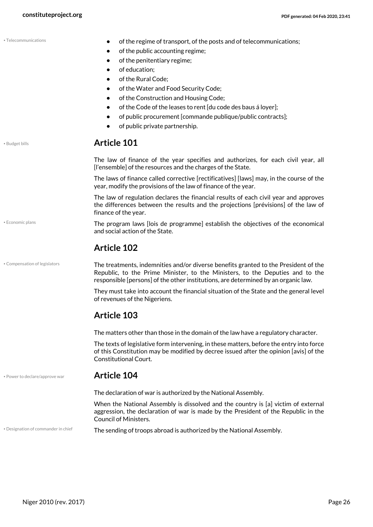<span id="page-25-5"></span><span id="page-25-4"></span><span id="page-25-3"></span><span id="page-25-2"></span><span id="page-25-1"></span><span id="page-25-0"></span>

|                                | of the regime of transport, of the posts and of telecommunications;<br>of the public accounting regime;<br>of the penitentiary regime;<br>$\bullet$<br>of education;<br>$\bullet$<br>of the Rural Code;<br>٠<br>of the Water and Food Security Code;<br>$\bullet$ |
|--------------------------------|-------------------------------------------------------------------------------------------------------------------------------------------------------------------------------------------------------------------------------------------------------------------|
|                                | of the Construction and Housing Code;<br>$\bullet$<br>of the Code of the leases to rent [du code des baus á loyer];<br>٠<br>of public procurement [commande publique/public contracts];<br>٠<br>of public private partnership.<br>$\bullet$                       |
| • Budget bills                 | <b>Article 101</b>                                                                                                                                                                                                                                                |
|                                | The law of finance of the year specifies and authorizes, for each civil year, all<br>[I'ensemble] of the resources and the charges of the State.                                                                                                                  |
|                                | The laws of finance called corrective [rectificatives] [laws] may, in the course of the<br>year, modify the provisions of the law of finance of the year.                                                                                                         |
|                                | The law of regulation declares the financial results of each civil year and approves<br>the differences between the results and the projections [prévisions] of the law of<br>finance of the year.                                                                |
| • Economic plans               | The program laws [lois de programme] establish the objectives of the economical<br>and social action of the State.                                                                                                                                                |
|                                | <b>Article 102</b>                                                                                                                                                                                                                                                |
|                                |                                                                                                                                                                                                                                                                   |
| · Compensation of legislators  | The treatments, indemnities and/or diverse benefits granted to the President of the<br>Republic, to the Prime Minister, to the Ministers, to the Deputies and to the<br>responsible [persons] of the other institutions, are determined by an organic law.        |
|                                | They must take into account the financial situation of the State and the general level<br>of revenues of the Nigeriens.                                                                                                                                           |
|                                | <b>Article 103</b>                                                                                                                                                                                                                                                |
|                                | The matters other than those in the domain of the law have a regulatory character.                                                                                                                                                                                |
|                                | The texts of legislative form intervening, in these matters, before the entry into force<br>of this Constitution may be modified by decree issued after the opinion [avis] of the<br><b>Constitutional Court.</b>                                                 |
| . Power to declare/approve war | <b>Article 104</b>                                                                                                                                                                                                                                                |
|                                | The declaration of war is authorized by the National Assembly.                                                                                                                                                                                                    |
|                                | When the National Assembly is dissolved and the country is [a] victim of external<br>aggression, the declaration of war is made by the President of the Republic in the<br><b>Council of Ministers.</b>                                                           |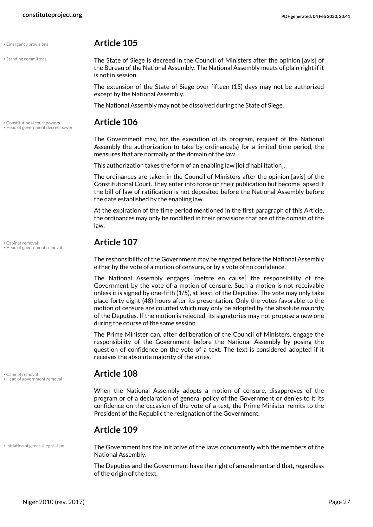#### • Emergency provisions **Article 105**

is not in session.

• Standing committees

<span id="page-26-6"></span><span id="page-26-2"></span>The State of Siege is decreed in the Council of Ministers after the opinion [avis] of the Bureau of the National Assembly. The National Assembly meets of plain right if it

The extension of the State of Siege over fifteen (15) days may not be authorized except by the National Assembly.

The National Assembly may not be dissolved during the State of Siege.

## • Constitutional court powers **Article 106** • Head of government decree power

<span id="page-26-3"></span><span id="page-26-1"></span>The Government may, for the execution of its program, request of the National Assembly the authorization to take by ordinance(s) for a limited time period, the measures that are normally of the domain of the law.

This authorization takes the form of an enabling law [loi d'habilitation].

The ordinances are taken in the Council of Ministers after the opinion [avis] of the Constitutional Court. They enter into force on their publication but become lapsed if the bill of law of ratification is not deposited before the National Assembly before the date established by the enabling law.

At the expiration of the time period mentioned in the first paragraph of this Article, the ordinances may only be modified in their provisions that are of the domain of the law.

## • Cabinet removal **Article 107** • Head of government removal

The responsibility of the Government may be engaged before the National Assembly either by the vote of a motion of censure, or by a vote of no confidence.

The National Assembly engages [mettre en cause] the responsibility of the Government by the vote of a motion of censure. Such a motion is not receivable unless it is signed by one-fifth (1/5), at least, of the Deputies. The vote may only take place forty-eight (48) hours after its presentation. Only the votes favorable to the motion of censure are counted which may only be adopted by the absolute majority of the Deputies. If the motion is rejected, its signatories may not propose a new one during the course of the same session.

The Prime Minister can, after deliberation of the Council of Ministers, engage the responsibility of the Government before the National Assembly by posing the question of confidence on the vote of a text. The text is considered adopted if it receives the absolute majority of the votes.

## <span id="page-26-0"></span>• Cabinet removal **Article 108** • Head of government removal

<span id="page-26-4"></span>When the National Assembly adopts a motion of censure, disapproves of the program or of a declaration of general policy of the Government or denies to it its confidence on the occasion of the vote of a text, the Prime Minister remits to the President of the Republic the resignation of the Government.

#### **Article 109**

• Initiation of general legislation

<span id="page-26-5"></span>The Government has the initiative of the laws concurrently with the members of the National Assembly.

The Deputies and the Government have the right of amendment and that, regardless of the origin of the text.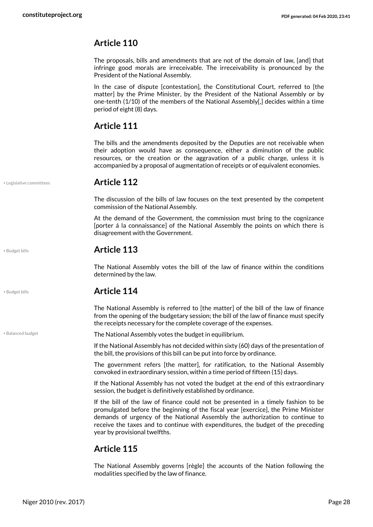### **Article 110**

The proposals, bills and amendments that are not of the domain of law, [and] that infringe good morals are irreceivable. The irreceivability is pronounced by the President of the National Assembly.

In the case of dispute [contestation], the Constitutional Court, referred to [the matter] by the Prime Minister, by the President of the National Assembly or by one-tenth (1/10) of the members of the National Assembly[,] decides within a time period of eight (8) days.

#### **Article 111**

The bills and the amendments deposited by the Deputies are not receivable when their adoption would have as consequence, either a diminution of the public resources, or the creation or the aggravation of a public charge, unless it is accompanied by a proposal of augmentation of receipts or of equivalent economies.

<span id="page-27-2"></span>

#### • Legislative committees **Article 112**

The discussion of the bills of law focuses on the text presented by the competent commission of the National Assembly.

At the demand of the Government, the commission must bring to the cognizance [porter á la connaissance] of the National Assembly the points on which there is disagreement with the Government.

#### • Budget bills **Article 113**

The National Assembly votes the bill of the law of finance within the conditions determined by the law.

### <span id="page-27-1"></span>• Budget bills **Article 114**

The National Assembly is referred to [the matter] of the bill of the law of finance from the opening of the budgetary session; the bill of the law of finance must specify the receipts necessary for the complete coverage of the expenses.

<span id="page-27-0"></span>• Balanced budget **The National Assembly votes the budget in equilibrium.** 

If the National Assembly has not decided within sixty (60) days of the presentation of the bill, the provisions of this bill can be put into force by ordinance.

The government refers [the matter], for ratification, to the National Assembly convoked in extraordinary session, within a time period of fifteen (15) days.

If the National Assembly has not voted the budget at the end of this extraordinary session, the budget is definitively established by ordinance.

If the bill of the law of finance could not be presented in a timely fashion to be promulgated before the beginning of the fiscal year [exercice], the Prime Minister demands of urgency of the National Assembly the authorization to continue to receive the taxes and to continue with expenditures, the budget of the preceding year by provisional twelfths.

### **Article 115**

The National Assembly governs [règle] the accounts of the Nation following the modalities specified by the law of finance.

Niger 2010 (rev. 2017) Page 28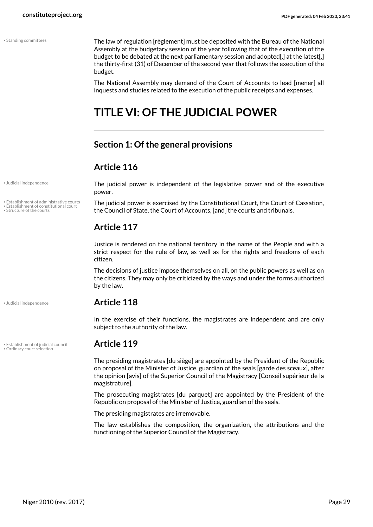<span id="page-28-7"></span>• Standing committees

The law of regulation [règlement] must be deposited with the Bureau of the National Assembly at the budgetary session of the year following that of the execution of the budget to be debated at the next parliamentary session and adopted[,] at the latest[,] the thirty-first (31) of December of the second year that follows the execution of the budget.

The National Assembly may demand of the Court of Accounts to lead [mener] all inquests and studies related to the execution of the public receipts and expenses.

## <span id="page-28-0"></span>**TITLE VI: OF THE JUDICIAL POWER**

#### <span id="page-28-1"></span>**Section 1: Of the general provisions**

#### **Article 116**

• Judicial independence

<span id="page-28-8"></span>• Establishment of administrative courts

• Establishment of constitutional court

• Structure of the courts

<span id="page-28-5"></span>

• Establishment of judicial council **Article 119** • Ordinary court selection

The judicial power is independent of the legislative power and of the executive power.

<span id="page-28-3"></span><span id="page-28-2"></span>The judicial power is exercised by the Constitutional Court, the Court of Cassation, the Council of State, the Court of Accounts, [and] the courts and tribunals.

### **Article 117**

Justice is rendered on the national territory in the name of the People and with a strict respect for the rule of law, as well as for the rights and freedoms of each citizen.

The decisions of justice impose themselves on all, on the public powers as well as on the citizens. They may only be criticized by the ways and under the forms authorized by the law.

#### • Judicial independence **Article 118**

In the exercise of their functions, the magistrates are independent and are only subject to the authority of the law.

<span id="page-28-6"></span><span id="page-28-4"></span>The presiding magistrates [du siège] are appointed by the President of the Republic on proposal of the Minister of Justice, guardian of the seals [garde des sceaux], after the opinion [avis] of the Superior Council of the Magistracy [Conseil supérieur de la magistrature].

The prosecuting magistrates [du parquet] are appointed by the President of the Republic on proposal of the Minister of Justice, guardian of the seals.

The presiding magistrates are irremovable.

The law establishes the composition, the organization, the attributions and the functioning of the Superior Council of the Magistracy.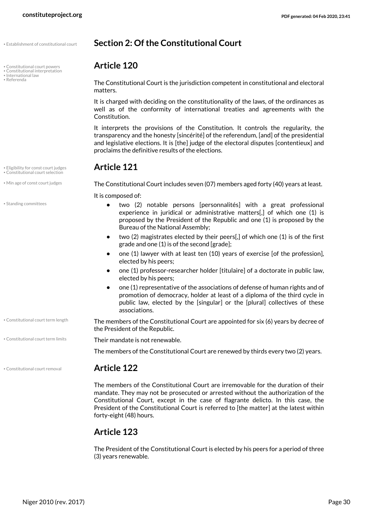• Establishment of constitutional court **Section 2: Of the Constitutional Court**

• Constitutional court powers **Article 120** • Constitutional interpretation

- <span id="page-29-9"></span>
- International law<br>• Referenda
- <span id="page-29-11"></span>

• Eligibility for const court judges **Article 121** • Constitutional court selection

<span id="page-29-12"></span>• Standing committees

• Min age of const court judges **The Constitutional Court includes seven (07) members aged forty (40) years at least.** 

<span id="page-29-10"></span><span id="page-29-3"></span>It is composed of:

<span id="page-29-7"></span>proclaims the definitive results of the elections.

matters.

Constitution.

**•** two (2) notable persons [personnalités] with a great professional experience in juridical or administrative matters[,] of which one (1) is proposed by the President of the Republic and one (1) is proposed by the Bureau of the National Assembly;

<span id="page-29-8"></span><span id="page-29-6"></span><span id="page-29-1"></span><span id="page-29-0"></span>The Constitutional Court is the jurisdiction competent in constitutional and electoral

It is charged with deciding on the constitutionality of the laws, of the ordinances as well as of the conformity of international treaties and agreements with the

It interprets the provisions of the Constitution. It controls the regularity, the transparency and the honesty [sincérité] of the referendum, [and] of the presidential and legislative elections. It is [the] judge of the electoral disputes [contentieux] and

- **•** two (2) magistrates elected by their peers[,] of which one (1) is of the first grade and one (1) is of the second [grade];
- **•** one (1) lawyer with at least ten (10) years of exercise [of the profession], elected by his peers;
- **•** one (1) professor-researcher holder [titulaire] of a doctorate in public law, elected by his peers;
- **•** one (1) representative of the associations of defense of human rights and of promotion of democracy, holder at least of a diploma of the third cycle in public law, elected by the [singular] or the [plural] collectives of these associations.
- The members of the Constitutional Court are appointed for six (6) years by decree of the President of the Republic. • Constitutional court term length

• Constitutional court term limits **Their mandate is not renewable.** 

<span id="page-29-5"></span><span id="page-29-4"></span>The members of the Constitutional Court are renewed by thirds every two (2) years.

#### • Constitutional court removal **Article 122**

<span id="page-29-2"></span>The members of the Constitutional Court are irremovable for the duration of their mandate. They may not be prosecuted or arrested without the authorization of the Constitutional Court, except in the case of flagrante delicto. In this case, the President of the Constitutional Court is referred to [the matter] at the latest within forty-eight (48) hours.

#### **Article 123**

The President of the Constitutional Court is elected by his peers for a period of three (3) years renewable.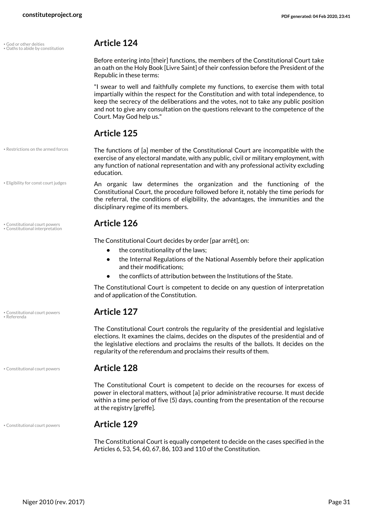<span id="page-30-3"></span>• God or other deities **Article 124** • Oaths to abide by constitution

<span id="page-30-4"></span>Before entering into [their] functions, the members of the Constitutional Court take an oath on the Holy Book [Livre Saint] of their confession before the President of the Republic in these terms:

"I swear to well and faithfully complete my functions, to exercise them with total impartially within the respect for the Constitution and with total independence, to keep the secrecy of the deliberations and the votes, not to take any public position and not to give any consultation on the questions relevant to the competence of the Court. May God help us."

<span id="page-30-6"></span>The functions of [a] member of the Constitutional Court are incompatible with the exercise of any electoral mandate, with any public, civil or military employment, with any function of national representation and with any professional activity excluding

<span id="page-30-2"></span>An organic law determines the organization and the functioning of the Constitutional Court, the procedure followed before it, notably the time periods for the referral, the conditions of eligibility, the advantages, the immunities and the

**•** the Internal Regulations of the National Assembly before their application

**•** the conflicts of attribution between the Institutions of the State. The Constitutional Court is competent to decide on any question of interpretation

The Constitutional Court controls the regularity of the presidential and legislative elections. It examines the claims, decides on the disputes of the presidential and of the legislative elections and proclaims the results of the ballots. It decides on the

regularity of the referendum and proclaims their results of them.

#### **Article 125**

disciplinary regime of its members.

<span id="page-30-1"></span>The Constitutional Court decides by order [par arrêt], on:

• the constitutionality of the laws;

and their modifications;

and of application of the Constitution.

education.

• Restrictions on the armed forces

• Eligibility for const court judges

• Constitutional court powers **Article 126** • Constitutional interpretation

<span id="page-30-5"></span>• Constitutional court powers **Article 127** • Referenda

• Constitutional court powers **Article 128**

The Constitutional Court is competent to decide on the recourses for excess of power in electoral matters, without [a] prior administrative recourse. It must decide within a time period of five (5) days, counting from the presentation of the recourse at the registry [greffe].

#### • Constitutional court powers **Article 129**

<span id="page-30-0"></span>The Constitutional Court is equally competent to decide on the cases specified in the Articles 6, 53, 54, 60, 67, 86, 103 and 110 of the Constitution.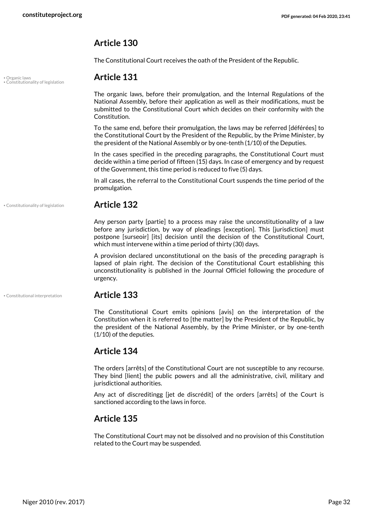#### **Article 130**

The Constitutional Court receives the oath of the President of the Republic.

### <span id="page-31-2"></span>• Organic laws **Article 131** • Constitutionality of legislation

The organic laws, before their promulgation, and the Internal Regulations of the National Assembly, before their application as well as their modifications, must be submitted to the Constitutional Court which decides on their conformity with the Constitution.

To the same end, before their promulgation, the laws may be referred [déférées] to the Constitutional Court by the President of the Republic, by the Prime Minister, by the president of the National Assembly or by one-tenth (1/10) of the Deputies.

In the cases specified in the preceding paragraphs, the Constitutional Court must decide within a time period of fifteen (15) days. In case of emergency and by request of the Government, this time period is reduced to five (5) days.

In all cases, the referral to the Constitutional Court suspends the time period of the promulgation.

#### • Constitutionality of legislation **Article 132**

<span id="page-31-1"></span>Any person party [partie] to a process may raise the unconstitutionality of a law before any jurisdiction, by way of pleadings [exception]. This [jurisdiction] must postpone [surseoir] [its] decision until the decision of the Constitutional Court, which must intervene within a time period of thirty (30) days.

A provision declared unconstitutional on the basis of the preceding paragraph is lapsed of plain right. The decision of the Constitutional Court establishing this unconstitutionality is published in the Journal Officiel following the procedure of urgency.

#### • Constitutional interpretation **Article 133**

<span id="page-31-0"></span>The Constitutional Court emits opinions [avis] on the interpretation of the Constitution when it is referred to [the matter] by the President of the Republic, by the president of the National Assembly, by the Prime Minister, or by one-tenth (1/10) of the deputies.

#### **Article 134**

The orders [arrêts] of the Constitutional Court are not susceptible to any recourse. They bind [lient] the public powers and all the administrative, civil, military and jurisdictional authorities.

Any act of discreditingg [jet de discrédit] of the orders [arrêts] of the Court is sanctioned according to the laws in force.

#### **Article 135**

The Constitutional Court may not be dissolved and no provision of this Constitution related to the Court may be suspended.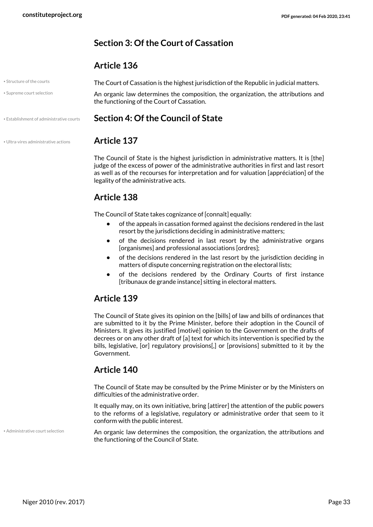#### <span id="page-32-0"></span>**Section 3: Of the Court of Cassation**

#### <span id="page-32-5"></span><span id="page-32-4"></span>**Article 136**

| • Structure of the courts                | The Court of Cassation is the highest jurisdiction of the Republic in judicial matters.                                         |  |
|------------------------------------------|---------------------------------------------------------------------------------------------------------------------------------|--|
| • Supreme court selection                | An organic law determines the composition, the organization, the attributions and<br>the functioning of the Court of Cassation. |  |
| • Establishment of administrative courts | Section 4: Of the Council of State                                                                                              |  |
| · Ultra-vires administrative actions     | <b>Article 137</b>                                                                                                              |  |

<span id="page-32-6"></span><span id="page-32-3"></span><span id="page-32-1"></span>The Council of State is the highest jurisdiction in administrative matters. It is [the] judge of the excess of power of the administrative authorities in first and last resort as well as of the recourses for interpretation and for valuation [appréciation] of the legality of the administrative acts.

### **Article 138**

The Council of State takes cognizance of [connaît] equally:

- **•** of the appeals in cassation formed against the decisions rendered in the last resort by the jurisdictions deciding in administrative matters;
- **•** of the decisions rendered in last resort by the administrative organs [organismes] and professional associations [ordres];
- **•** of the decisions rendered in the last resort by the jurisdiction deciding in matters of dispute concerning registration on the electoral lists;
- **•** of the decisions rendered by the Ordinary Courts of first instance [tribunaux de grande instance] sitting in electoral matters.

### **Article 139**

The Council of State gives its opinion on the [bills] of law and bills of ordinances that are submitted to it by the Prime Minister, before their adoption in the Council of Ministers. It gives its justified [motivé] opinion to the Government on the drafts of decrees or on any other draft of [a] text for which its intervention is specified by the bills, legislative, [or] regulatory provisions[,] or [provisions] submitted to it by the Government.

### **Article 140**

The Council of State may be consulted by the Prime Minister or by the Ministers on difficulties of the administrative order.

It equally may, on its own initiative, bring [attirer] the attention of the public powers to the reforms of a legislative, regulatory or administrative order that seem to it conform with the public interest.

• Administrative court selection

<span id="page-32-2"></span>An organic law determines the composition, the organization, the attributions and the functioning of the Council of State.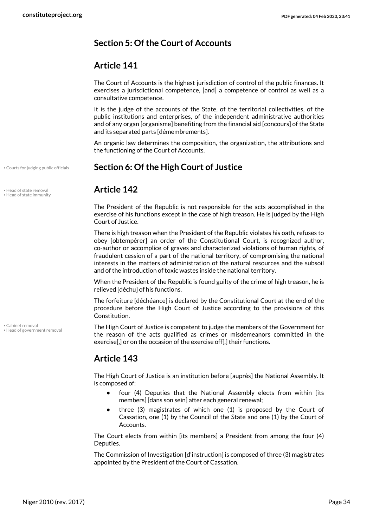### <span id="page-33-0"></span>**Section 5: Of the Court of Accounts**

### **Article 141**

The Court of Accounts is the highest jurisdiction of control of the public finances. It exercises a jurisdictional competence, [and] a competence of control as well as a consultative competence.

It is the judge of the accounts of the State, of the territorial collectivities, of the public institutions and enterprises, of the independent administrative authorities and of any organ [organisme] benefiting from the financial aid [concours] of the State and its separated parts [démembrements].

<span id="page-33-3"></span><span id="page-33-1"></span>An organic law determines the composition, the organization, the attributions and the functioning of the Court of Accounts.

#### • Courts for judging public officials **Section 6: Of the High Court of Justice**

<span id="page-33-5"></span>The President of the Republic is not responsible for the acts accomplished in the exercise of his functions except in the case of high treason. He is judged by the High Court of Justice.

There is high treason when the President of the Republic violates his oath, refuses to obey [obtempérer] an order of the Constitutional Court, is recognized author, co-author or accomplice of graves and characterized violations of human rights, of fraudulent cession of a part of the national territory, of compromising the national interests in the matters of administration of the natural resources and the subsoil and of the introduction of toxic wastes inside the national territory.

When the President of the Republic is found guilty of the crime of high treason, he is relieved [déchu] of his functions.

The forfeiture [déchéance] is declared by the Constitutional Court at the end of the procedure before the High Court of Justice according to the provisions of this Constitution.

<span id="page-33-4"></span>The High Court of Justice is competent to judge the members of the Government for the reason of the acts qualified as crimes or misdemeanors committed in the exercise[,] or on the occasion of the exercise off[,] their functions.

### **Article 143**

The High Court of Justice is an institution before [auprès] the National Assembly. It is composed of:

- **•** four (4) Deputies that the National Assembly elects from within [its members] [dans son sein] after each general renewal;
- **•** three (3) magistrates of which one (1) is proposed by the Court of Cassation, one (1) by the Council of the State and one (1) by the Court of Accounts.

The Court elects from within [its members] a President from among the four (4) Deputies.

The Commission of Investigation [d'instruction] is composed of three (3) magistrates appointed by the President of the Court of Cassation.

<span id="page-33-6"></span>• Head of state removal **Article 142** • Head of state immunity

<span id="page-33-2"></span>• Cabinet removal • Head of government removal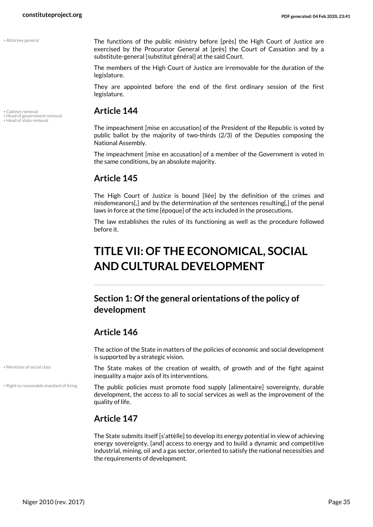<span id="page-34-2"></span>

<span id="page-34-5"></span>

The functions of the public ministry before [près] the High Court of Justice are exercised by the Procurator General at [près] the Court of Cassation and by a substitute-general [substitut général] at the said Court.

The members of the High Court of Justice are irremovable for the duration of the legislature.

They are appointed before the end of the first ordinary session of the first legislature.

## <span id="page-34-3"></span>• Cabinet removal **Article 144** • Head of government removal • Head of state removal

<span id="page-34-4"></span>The impeachment [mise en accusation] of the President of the Republic is voted by public ballot by the majority of two-thirds (2/3) of the Deputies composing the National Assembly.

The impeachment [mise en accusation] of a member of the Government is voted in the same conditions, by an absolute majority.

### **Article 145**

The High Court of Justice is bound [liée] by the definition of the crimes and misdemeanors[,] and by the determination of the sentences resulting[,] of the penal laws in force at the time [époque] of the acts included in the prosecutions.

The law establishes the rules of its functioning as well as the procedure followed before it.

## <span id="page-34-0"></span>**TITLE VII: OF THE ECONOMICAL, SOCIAL AND CULTURAL DEVELOPMENT**

### <span id="page-34-1"></span>**Section 1: Of the general orientations of the policy of development**

### **Article 146**

The action of the State in matters of the policies of economic and social development is supported by a strategic vision.

<span id="page-34-6"></span>The State makes of the creation of wealth, of growth and of the fight against inequality a major axis of its interventions.

<span id="page-34-7"></span>The public policies must promote food supply [alimentaire] sovereignty, durable development, the access to all to social services as well as the improvement of the quality of life.

### **Article 147**

The State submits itself [s'attèlle] to develop its energy potential in view of achieving energy sovereignty, [and] access to energy and to build a dynamic and competitive industrial, mining, oil and a gas sector, oriented to satisfy the national necessities and the requirements of development.

• Mentions of social class

• Right to reasonable standard of living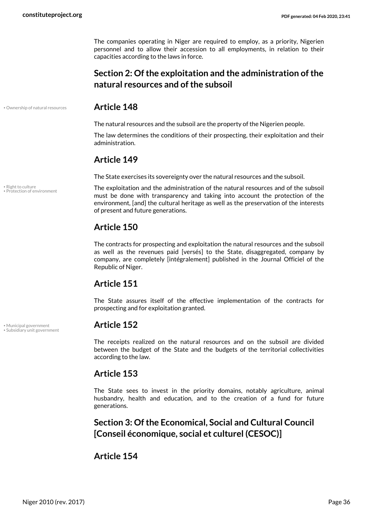The companies operating in Niger are required to employ, as a priority, Nigerien personnel and to allow their accession to all employments, in relation to their capacities according to the laws in force.

### <span id="page-35-0"></span>**Section 2: Of the exploitation and the administration of the natural resources and of the subsoil**

#### • Ownership of natural resources **Article 148**

<span id="page-35-3"></span>The natural resources and the subsoil are the property of the Nigerien people.

The law determines the conditions of their prospecting, their exploitation and their administration.

#### **Article 149**

The State exercises its sovereignty over the natural resources and the subsoil.

<span id="page-35-4"></span>The exploitation and the administration of the natural resources and of the subsoil must be done with transparency and taking into account the protection of the environment, [and] the cultural heritage as well as the preservation of the interests of present and future generations.

### **Article 150**

The contracts for prospecting and exploitation the natural resources and the subsoil as well as the revenues paid [versés] to the State, disaggregated, company by company, are completely [intégralement] published in the Journal Officiel of the Republic of Niger.

### **Article 151**

The State assures itself of the effective implementation of the contracts for prospecting and for exploitation granted.

<span id="page-35-6"></span>The receipts realized on the natural resources and on the subsoil are divided between the budget of the State and the budgets of the territorial collectivities according to the law.

#### **Article 153**

The State sees to invest in the priority domains, notably agriculture, animal husbandry, health and education, and to the creation of a fund for future generations.

<span id="page-35-1"></span>**Section 3: Of the Economical, Social and Cultural Council [Conseil économique, social et culturel (CESOC)]**

#### **Article 154**

<span id="page-35-5"></span>• Right to culture • Protection of environment

<span id="page-35-2"></span>• Municipal government **Article 152** • Subsidiary unit government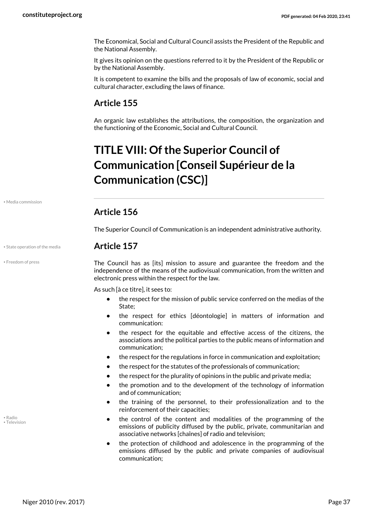The Economical, Social and Cultural Council assists the President of the Republic and the National Assembly.

It gives its opinion on the questions referred to it by the President of the Republic or by the National Assembly.

It is competent to examine the bills and the proposals of law of economic, social and cultural character, excluding the laws of finance.

### **Article 155**

An organic law establishes the attributions, the composition, the organization and the functioning of the Economic, Social and Cultural Council.

## <span id="page-36-0"></span>**TITLE VIII: Of the Superior Council of Communication [Conseil Supérieur de la Communication (CSC)]**

<span id="page-36-2"></span>• Media commission

#### **Article 156**

The Superior Council of Communication is an independent administrative authority.

#### • State operation of the media **Article 157**

<span id="page-36-1"></span>

• Freedom of press

<span id="page-36-4"></span>The Council has as [its] mission to assure and guarantee the freedom and the independence of the means of the audiovisual communication, from the written and electronic press within the respect for the law.

As such [à ce titre], it sees to:

- **•** the respect for the mission of public service conferred on the medias of the State;
- **•** the respect for ethics [déontologie] in matters of information and communication:
- **•** the respect for the equitable and effective access of the citizens, the associations and the political parties to the public means of information and communication;
- **•** the respect for the regulations in force in communication and exploitation;
- **•** the respect for the statutes of the professionals of communication;
- **•** the respect for the plurality of opinions in the public and private media;
- **•** the promotion and to the development of the technology of information and of communication;
- **•** the training of the personnel, to their professionalization and to the reinforcement of their capacities;
- **•** the control of the content and modalities of the programming of the emissions of publicity diffused by the public, private, communitarian and associative networks [chaînes] of radio and television;
- **•** the protection of childhood and adolescence in the programming of the emissions diffused by the public and private companies of audiovisual communication;

<span id="page-36-5"></span><span id="page-36-3"></span>• Radio • Television

Niger 2010 (rev. 2017) Page 37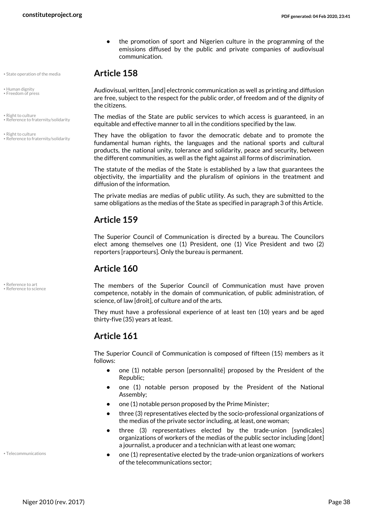• State operation of the media **Article 158**

- <span id="page-37-1"></span><span id="page-37-0"></span>• Human dignity • Freedom of press
- Right to culture • Reference to fraternity/solidarity
- <span id="page-37-5"></span>• Right to culture • Reference to fraternity/solidarity

<span id="page-37-6"></span>Audiovisual, written, [and] electronic communication as well as printing and diffusion are free, subject to the respect for the public order, of freedom and of the dignity of the citizens.

**•** the promotion of sport and Nigerien culture in the programming of the emissions diffused by the public and private companies of audiovisual

The medias of the State are public services to which access is guaranteed, in an equitable and effective manner to all in the conditions specified by the law.

<span id="page-37-3"></span>They have the obligation to favor the democratic debate and to promote the fundamental human rights, the languages and the national sports and cultural products, the national unity, tolerance and solidarity, peace and security, between the different communities, as well as the fight against all forms of discrimination.

The statute of the medias of the State is established by a law that guarantees the objectivity, the impartiality and the pluralism of opinions in the treatment and diffusion of the information.

The private medias are medias of public utility. As such, they are submitted to the same obligations as the medias of the State as specified in paragraph 3 of this Article.

### **Article 159**

communication.

The Superior Council of Communication is directed by a bureau. The Councilors elect among themselves one (1) President, one (1) Vice President and two (2) reporters [rapporteurs]. Only the bureau is permanent.

### **Article 160**

<span id="page-37-4"></span><span id="page-37-2"></span>The members of the Superior Council of Communication must have proven competence, notably in the domain of communication, of public administration, of science, of law [droit], of culture and of the arts.

They must have a professional experience of at least ten (10) years and be aged thirty-five (35) years at least.

### **Article 161**

The Superior Council of Communication is composed of fifteen (15) members as it follows:

- **•** one (1) notable person [personnalité] proposed by the President of the Republic;
- **•** one (1) notable person proposed by the President of the National Assembly;
- **•** one (1) notable person proposed by the Prime Minister;
- **•** three (3) representatives elected by the socio-professional organizations of the medias of the private sector including, at least, one woman;
- **•** three (3) representatives elected by the trade-union [syndicales] organizations of workers of the medias of the public sector including [dont] a journalist, a producer and a technician with at least one woman;
- **•** one (1) representative elected by the trade-union organizations of workers of the telecommunications sector;

<span id="page-37-7"></span>• Telecommunications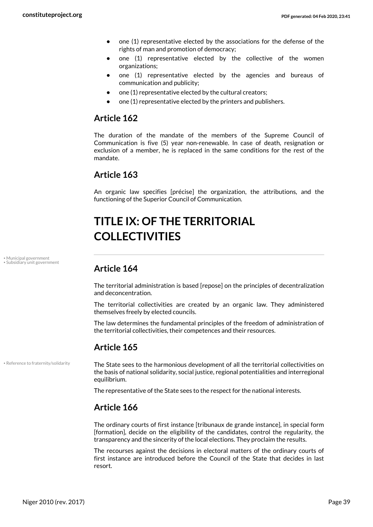- **•** one (1) representative elected by the associations for the defense of the rights of man and promotion of democracy;
- **•** one (1) representative elected by the collective of the women organizations;
- **•** one (1) representative elected by the agencies and bureaus of communication and publicity;
- **•** one (1) representative elected by the cultural creators;
- **•** one (1) representative elected by the printers and publishers.

#### **Article 162**

The duration of the mandate of the members of the Supreme Council of Communication is five (5) year non-renewable. In case of death, resignation or exclusion of a member, he is replaced in the same conditions for the rest of the mandate.

#### **Article 163**

An organic law specifies [précise] the organization, the attributions, and the functioning of the Superior Council of Communication.

## <span id="page-38-0"></span>**TITLE IX: OF THE TERRITORIAL COLLECTIVITIES**

• Municipal government • Subsidiary unit government

### <span id="page-38-3"></span><span id="page-38-1"></span>**Article 164**

The territorial administration is based [repose] on the principles of decentralization and deconcentration.

The territorial collectivities are created by an organic law. They administered themselves freely by elected councils.

The law determines the fundamental principles of the freedom of administration of the territorial collectivities, their competences and their resources.

#### **Article 165**

• Reference to fraternity/solidarity

<span id="page-38-2"></span>The State sees to the harmonious development of all the territorial collectivities on the basis of national solidarity, social justice, regional potentialities and interregional equilibrium.

The representative of the State sees to the respect for the national interests.

#### **Article 166**

The ordinary courts of first instance [tribunaux de grande instance], in special form [formation], decide on the eligibility of the candidates, control the regularity, the transparency and the sincerity of the local elections. They proclaim the results.

The recourses against the decisions in electoral matters of the ordinary courts of first instance are introduced before the Council of the State that decides in last resort.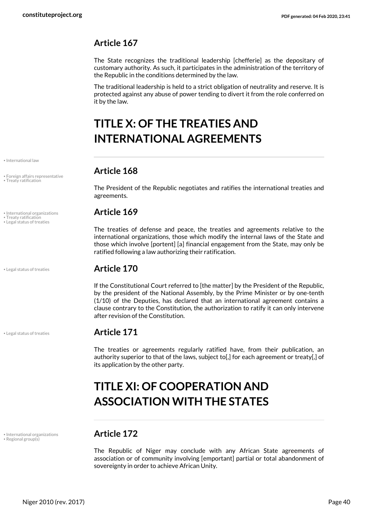### **Article 167**

The State recognizes the traditional leadership [chefferie] as the depositary of customary authority. As such, it participates in the administration of the territory of the Republic in the conditions determined by the law.

The traditional leadership is held to a strict obligation of neutrality and reserve. It is protected against any abuse of power tending to divert it from the role conferred on it by the law.

## <span id="page-39-0"></span>**TITLE X: OF THE TREATIES AND INTERNATIONAL AGREEMENTS**

## **Article 168** • Foreign affairs representative

<span id="page-39-2"></span>The President of the Republic negotiates and ratifies the international treaties and agreements.

#### • International organizations **Article 169**

The treaties of defense and peace, the treaties and agreements relative to the international organizations, those which modify the internal laws of the State and those which involve [portent] [a] financial engagement from the State, may only be ratified following a law authorizing their ratification.

#### • Legal status of treaties **Article 170**

If the Constitutional Court referred to [the matter] by the President of the Republic, by the president of the National Assembly, by the Prime Minister or by one-tenth (1/10) of the Deputies, has declared that an international agreement contains a clause contrary to the Constitution, the authorization to ratify it can only intervene after revision of the Constitution.

### • Legal status of treaties **Article 171**

The treaties or agreements regularly ratified have, from their publication, an authority superior to that of the laws, subject to[,] for each agreement or treaty[,] of its application by the other party.

## <span id="page-39-1"></span>**TITLE XI: OF COOPERATION AND ASSOCIATION WITH THE STATES**

<span id="page-39-4"></span>The Republic of Niger may conclude with any African State agreements of association or of community involving [emportant] partial or total abandonment of sovereignty in order to achieve African Unity.

<span id="page-39-3"></span>• International law

• Treaty ratification

<span id="page-39-7"></span>

• Treaty ratification<br>• Legal status of treaties

<span id="page-39-5"></span>

<span id="page-39-6"></span>• International organizations **Article 172** • Regional group(s)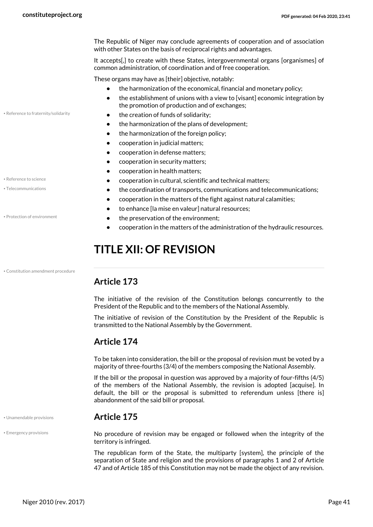The Republic of Niger may conclude agreements of cooperation and of association with other States on the basis of reciprocal rights and advantages.

It accepts[,] to create with these States, intergovernmental organs [organismes] of common administration, of coordination and of free cooperation.

These organs may have as [their] objective, notably:

- **•** the harmonization of the economical, financial and monetary policy;
- <span id="page-40-4"></span>• the establishment of unions with a view to [visant] economic integration by the promotion of production and of exchanges;
- Reference to fraternity/solidarity  **the creation of funds of solidarity:** 
	- **•** the harmonization of the plans of development;
	- **•** the harmonization of the foreign policy;
	- **•** cooperation in judicial matters;
	- **•** cooperation in defense matters;
	- **•** cooperation in security matters;
	- **•** cooperation in health matters;
- Reference to science *•* **• cooperation in cultural, scientific and technical matters;**
- Telecommunications  **Telecommunications the coordination of transports, communications and telecommunications;** 
	- **•** cooperation in the matters of the fight against natural calamities;
	- **•** to enhance [la mise en valeur] natural resources;
- Protection of environment  **Conservation of the environment;** 
	- **•** cooperation in the matters of the administration of the hydraulic resources.

## <span id="page-40-3"></span><span id="page-40-0"></span>**TITLE XII: OF REVISION**

#### <span id="page-40-1"></span>**Article 173**

The initiative of the revision of the Constitution belongs concurrently to the President of the Republic and to the members of the National Assembly.

The initiative of revision of the Constitution by the President of the Republic is transmitted to the National Assembly by the Government.

#### **Article 174**

To be taken into consideration, the bill or the proposal of revision must be voted by a majority of three-fourths (3/4) of the members composing the National Assembly.

If the bill or the proposal in question was approved by a majority of four-fifths (4/5) of the members of the National Assembly, the revision is adopted [acquise]. In default, the bill or the proposal is submitted to referendum unless [there is] abandonment of the said bill or proposal.

#### • Unamendable provisions **Article 175**

<span id="page-40-7"></span><span id="page-40-2"></span>No procedure of revision may be engaged or followed when the integrity of the territory is infringed.

The republican form of the State, the multiparty [system], the principle of the separation of State and religion and the provisions of paragraphs 1 and 2 of Article 47 and of Article 185 of this Constitution may not be made the object of any revision.

<span id="page-40-5"></span>

<span id="page-40-6"></span>

• Constitution amendment procedure

• Emergency provisions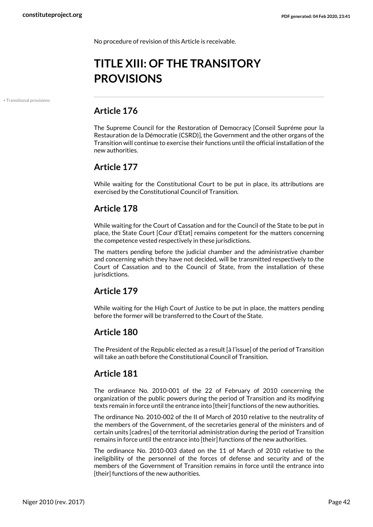No procedure of revision of this Article is receivable.

## <span id="page-41-0"></span>**TITLE XIII: OF THE TRANSITORY PROVISIONS**

• Transitional provisions

### <span id="page-41-1"></span>**Article 176**

The Supreme Council for the Restoration of Democracy [Conseil Supréme pour la Restauration de la Démocratie (CSRD)], the Government and the other organs of the Transition will continue to exercise their functions until the official installation of the new authorities.

#### **Article 177**

While waiting for the Constitutional Court to be put in place, its attributions are exercised by the Constitutional Council of Transition.

#### **Article 178**

While waiting for the Court of Cassation and for the Council of the State to be put in place, the State Court [Cour d'Etat] remains competent for the matters concerning the competence vested respectively in these jurisdictions.

The matters pending before the judicial chamber and the administrative chamber and concerning which they have not decided, will be transmitted respectively to the Court of Cassation and to the Council of State, from the installation of these jurisdictions.

### **Article 179**

While waiting for the High Court of Justice to be put in place, the matters pending before the former will be transferred to the Court of the State.

### **Article 180**

The President of the Republic elected as a result [à l'issue] of the period of Transition will take an oath before the Constitutional Council of Transition.

#### **Article 181**

The ordinance No. 2010-001 of the 22 of February of 2010 concerning the organization of the public powers during the period of Transition and its modifying texts remain in force until the entrance into [their] functions of the new authorities.

The ordinance No. 2010-002 of the II of March of 2010 relative to the neutrality of the members of the Government, of the secretaries general of the ministers and of certain units [cadres] of the territorial administration during the period of Transition remains in force until the entrance into [their] functions of the new authorities.

The ordinance No. 2010-003 dated on the 11 of March of 2010 relative to the ineligibility of the personnel of the forces of defense and security and of the members of the Government of Transition remains in force until the entrance into [their] functions of the new authorities.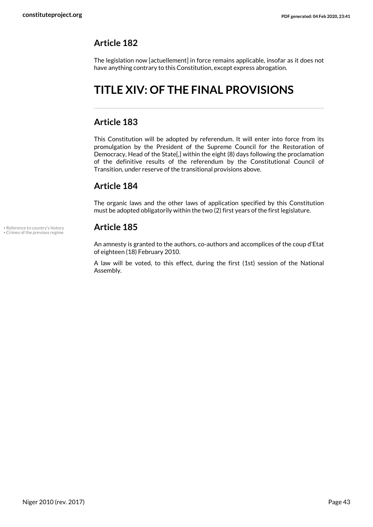#### **Article 182**

The legislation now [actuellement] in force remains applicable, insofar as it does not have anything contrary to this Constitution, except express abrogation.

## <span id="page-42-0"></span>**TITLE XIV: OF THE FINAL PROVISIONS**

#### **Article 183**

This Constitution will be adopted by referendum. It will enter into force from its promulgation by the President of the Supreme Council for the Restoration of Democracy, Head of the State[,] within the eight (8) days following the proclamation of the definitive results of the referendum by the Constitutional Council of Transition, under reserve of the transitional provisions above.

#### **Article 184**

The organic laws and the other laws of application specified by this Constitution must be adopted obligatorily within the two (2) first years of the first legislature.

<span id="page-42-2"></span><span id="page-42-1"></span>An amnesty is granted to the authors, co-authors and accomplices of the coup d'Etat of eighteen (18) February 2010.

A law will be voted, to this effect, during the first (1st) session of the National Assembly.

• Reference to country's history **Article 185** • Crimes of the previous regime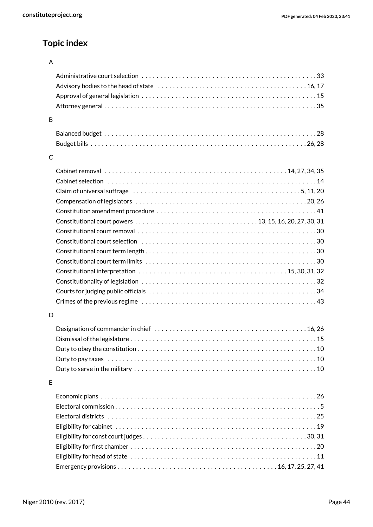### **Topic index**

#### A

| B |                                                                                                                  |
|---|------------------------------------------------------------------------------------------------------------------|
|   |                                                                                                                  |
|   |                                                                                                                  |
| C |                                                                                                                  |
|   |                                                                                                                  |
|   |                                                                                                                  |
|   | Claim of universal suffrage $\dots\dots\dots\dots\dots\dots\dots\dots\dots\dots\dots\dots\dots\dots\dots$        |
|   |                                                                                                                  |
|   |                                                                                                                  |
|   |                                                                                                                  |
|   |                                                                                                                  |
|   |                                                                                                                  |
|   |                                                                                                                  |
|   |                                                                                                                  |
|   |                                                                                                                  |
|   |                                                                                                                  |
|   |                                                                                                                  |
|   |                                                                                                                  |
| D |                                                                                                                  |
|   |                                                                                                                  |
|   |                                                                                                                  |
|   | Duty to obey the constitution $\dots\dots\dots\dots\dots\dots\dots\dots\dots\dots\dots\dots\dots\dots\dots\dots$ |
|   | Duty to pay taxes experience in the control of the control of the control of the control of the control of the c |
|   |                                                                                                                  |
| E |                                                                                                                  |
|   |                                                                                                                  |
|   |                                                                                                                  |
|   |                                                                                                                  |
|   |                                                                                                                  |
|   |                                                                                                                  |
|   |                                                                                                                  |
|   |                                                                                                                  |
|   |                                                                                                                  |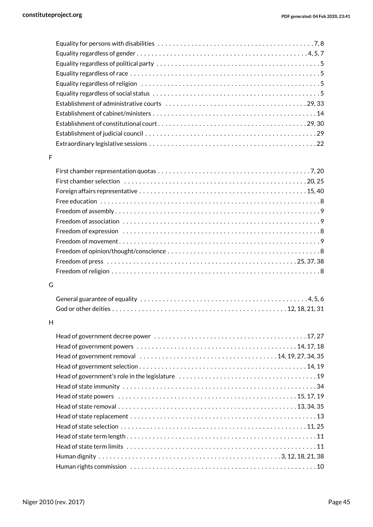| Equality regardless of religion $\dots\dots\dots\dots\dots\dots\dots\dots\dots\dots\dots\dots\dots\dots\dots\dots$ |
|--------------------------------------------------------------------------------------------------------------------|
|                                                                                                                    |
|                                                                                                                    |
|                                                                                                                    |
|                                                                                                                    |
|                                                                                                                    |
|                                                                                                                    |
|                                                                                                                    |

#### F

| Freedom of press $\dots\dots\dots\dots\dots\dots\dots\dots\dots\dots\dots\dots\dots\dots\dots\dots$ |  |
|-----------------------------------------------------------------------------------------------------|--|
|                                                                                                     |  |
|                                                                                                     |  |

#### G

| General guarantee of equality $\dots\dots\dots\dots\dots\dots\dots\dots\dots\dots\dots\dots\dots\dots\dots$ |  |
|-------------------------------------------------------------------------------------------------------------|--|
|                                                                                                             |  |

#### H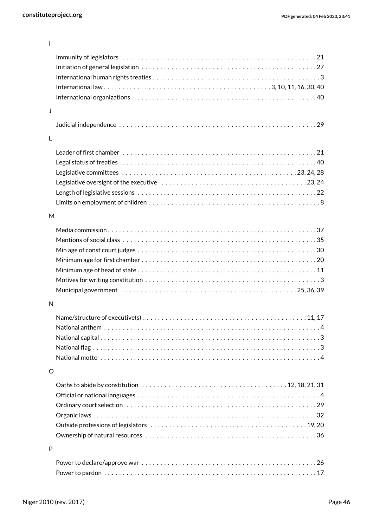| $\mathbf{I}$ |                                                                                                                   |
|--------------|-------------------------------------------------------------------------------------------------------------------|
|              |                                                                                                                   |
|              |                                                                                                                   |
|              |                                                                                                                   |
|              |                                                                                                                   |
|              |                                                                                                                   |
| J            |                                                                                                                   |
|              |                                                                                                                   |
| L            |                                                                                                                   |
|              |                                                                                                                   |
|              |                                                                                                                   |
|              |                                                                                                                   |
|              |                                                                                                                   |
|              |                                                                                                                   |
|              |                                                                                                                   |
| M            |                                                                                                                   |
|              |                                                                                                                   |
|              |                                                                                                                   |
|              |                                                                                                                   |
|              |                                                                                                                   |
|              |                                                                                                                   |
|              |                                                                                                                   |
|              |                                                                                                                   |
| N            |                                                                                                                   |
|              | 11.17                                                                                                             |
|              |                                                                                                                   |
|              |                                                                                                                   |
|              |                                                                                                                   |
|              |                                                                                                                   |
| O            |                                                                                                                   |
|              | Oaths to abide by constitution $\dots\dots\dots\dots\dots\dots\dots\dots\dots\dots\dots\dots\dots$ 12, 18, 21, 31 |
|              |                                                                                                                   |
|              |                                                                                                                   |
|              |                                                                                                                   |
|              |                                                                                                                   |
|              |                                                                                                                   |
| P            |                                                                                                                   |
|              |                                                                                                                   |
|              |                                                                                                                   |
|              |                                                                                                                   |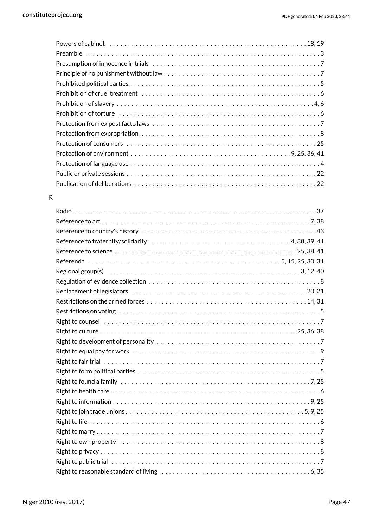#### R

| Regional group(s) $\dots\dots\dots\dots\dots\dots\dots\dots\dots\dots\dots\dots\dots\dots\dots\dots\dots\dots$ |
|----------------------------------------------------------------------------------------------------------------|
|                                                                                                                |
|                                                                                                                |
|                                                                                                                |
|                                                                                                                |
|                                                                                                                |
|                                                                                                                |
|                                                                                                                |
|                                                                                                                |
|                                                                                                                |
|                                                                                                                |
| Right to found a family $\dots\dots\dots\dots\dots\dots\dots\dots\dots\dots\dots\dots\dots\dots\dots\dots$     |
|                                                                                                                |
|                                                                                                                |
|                                                                                                                |
|                                                                                                                |
|                                                                                                                |
|                                                                                                                |
|                                                                                                                |
|                                                                                                                |
|                                                                                                                |